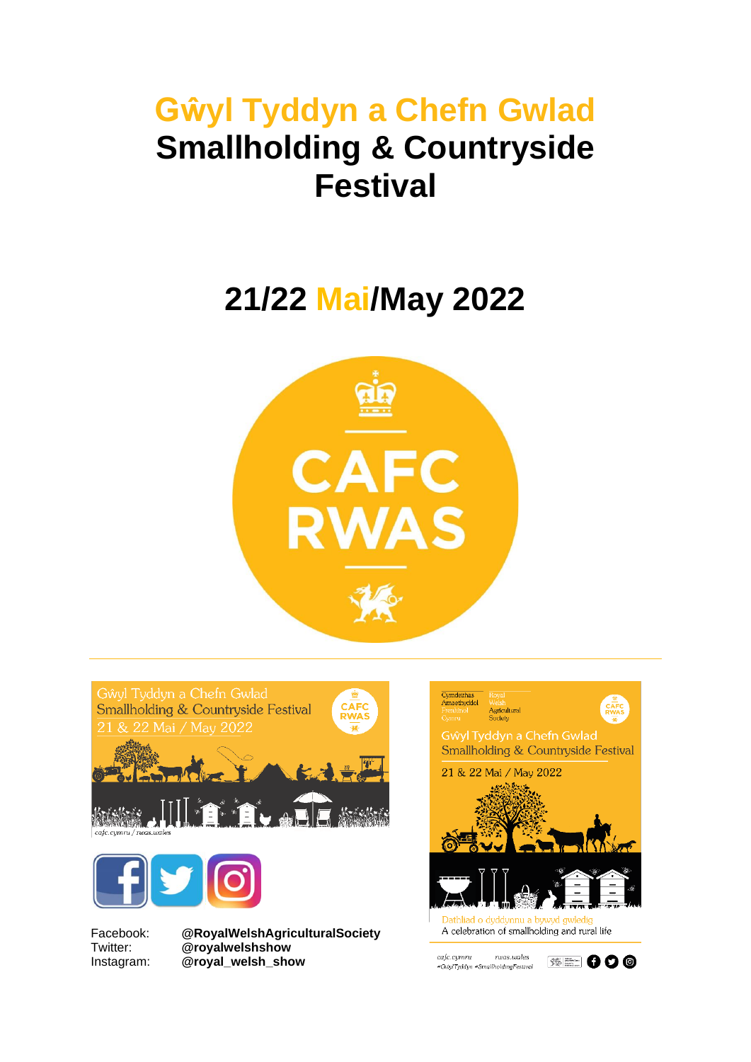# **Gŵyl Tyddyn a Chefn Gwlad Smallholding & Countryside Festival**

# **21/22 Mai/May 2022**



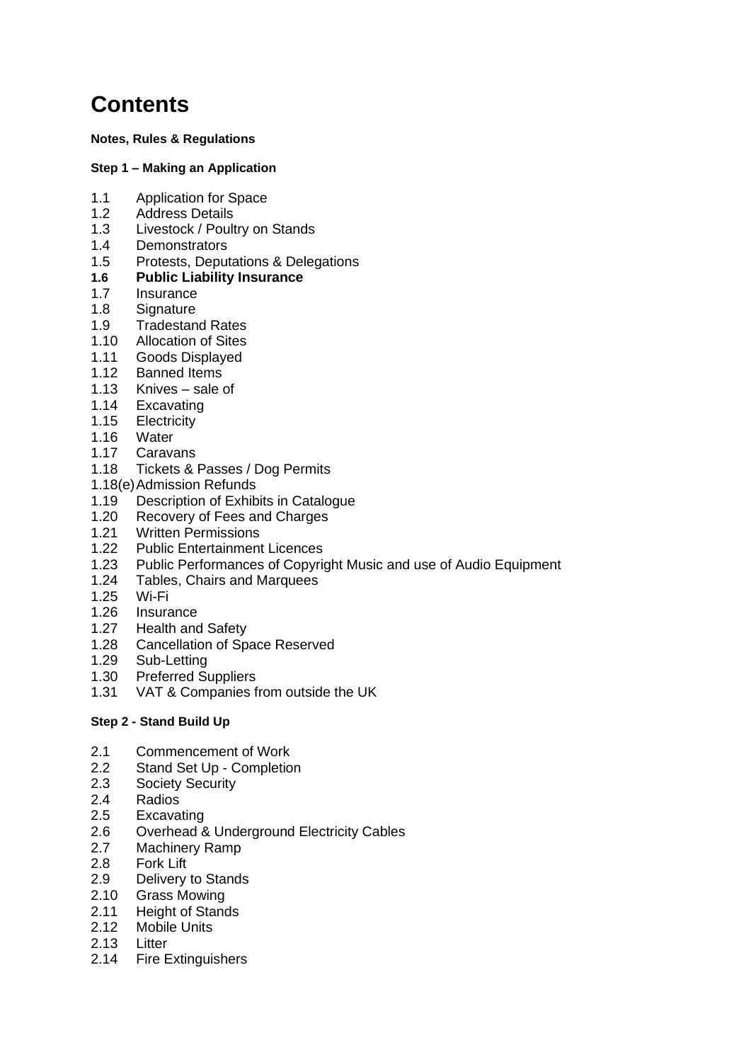# **Contents**

**Notes, Rules & Regulations** 

#### **Step 1 – Making an Application**

- 1.1 Application for Space
- 1.2 Address Details
- 1.3 Livestock / Poultry on Stands
- 1.4 Demonstrators
- 1.5 Protests, Deputations & Delegations
- **1.6 Public Liability Insurance**
- 1.7 Insurance
- 1.8 Signature
- 1.9 Tradestand Rates
- 1.10 Allocation of Sites
- 1.11 Goods Displayed
- 1.12 Banned Items
- 1.13 Knives sale of
- 1.14 Excavating
- 1.15 Electricity
- 1.16 Water
- 1.17 Caravans
- 1.18 Tickets & Passes / Dog Permits
- 1.18(e) Admission Refunds
- 1.19 Description of Exhibits in Catalogue
- 1.20 Recovery of Fees and Charges
- 1.21 Written Permissions
- 1.22 Public Entertainment Licences
- 1.23 Public Performances of Copyright Music and use of Audio Equipment
- 1.24 Tables, Chairs and Marquees
- 1.25 Wi-Fi
- 1.26 Insurance
- 1.27 Health and Safety
- 1.28 Cancellation of Space Reserved
- 1.29 Sub-Letting
- 1.30 Preferred Suppliers
- 1.31 VAT & Companies from outside the UK

#### **Step 2 - Stand Build Up**

- 2.1 Commencement of Work
- 2.2 Stand Set Up Completion
- 2.3 Society Security
- 2.4 Radios
- 2.5 Excavating
- 2.6 Overhead & Underground Electricity Cables
- 2.7 Machinery Ramp
- 2.8 Fork Lift
- 2.9 Delivery to Stands
- 2.10 Grass Mowing
- 2.11 Height of Stands
- 2.12 Mobile Units
- 2.13 Litter
- 2.14 Fire Extinguishers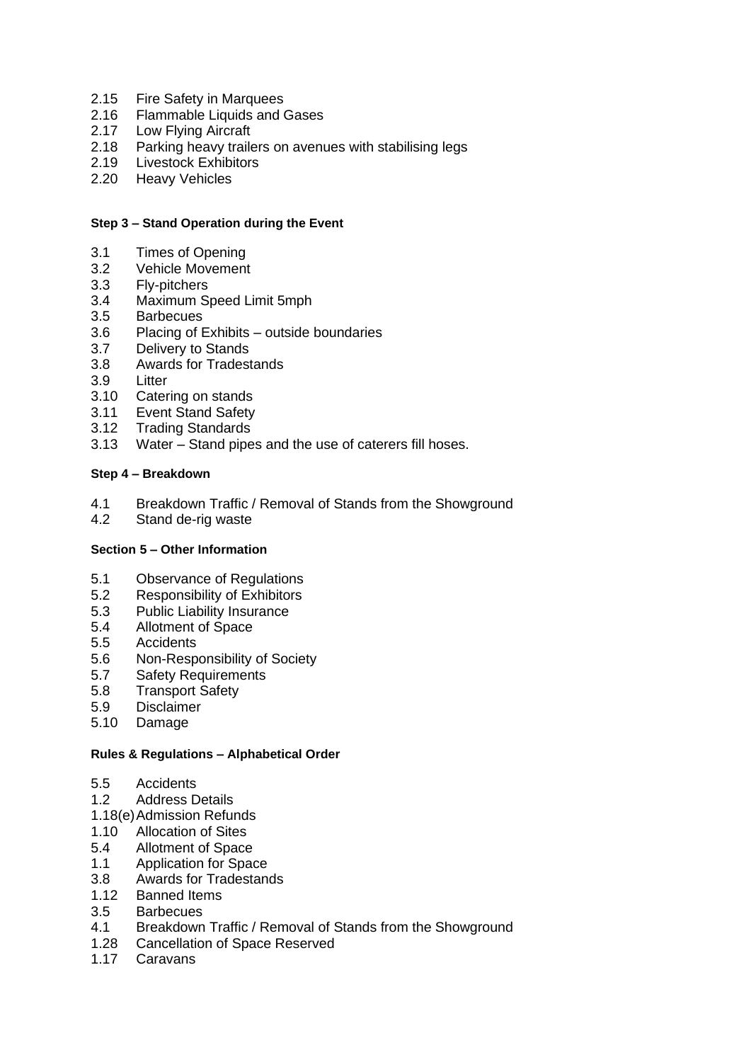- 2.15 Fire Safety in Marquees
- 2.16 Flammable Liquids and Gases
- 2.17 Low Flying Aircraft
- 2.18 Parking heavy trailers on avenues with stabilising legs<br>2.19 Livestock Exhibitors
- Livestock Exhibitors
- 2.20 Heavy Vehicles

#### **Step 3 – Stand Operation during the Event**

- 3.1 Times of Opening
- 3.2 Vehicle Movement
- 3.3 Fly-pitchers
- 3.4 Maximum Speed Limit 5mph
- 3.5 Barbecues
- 3.6 Placing of Exhibits outside boundaries
- 3.7 Delivery to Stands
- 3.8 Awards for Tradestands
- 3.9 Litter
- 3.10 Catering on stands
- 3.11 Event Stand Safety
- 3.12 Trading Standards
- 3.13 Water Stand pipes and the use of caterers fill hoses.

#### **Step 4 – Breakdown**

- 4.1 Breakdown Traffic / Removal of Stands from the Showground
- 4.2 Stand de-rig waste

#### **Section 5 – Other Information**

- 5.1 Observance of Regulations
- 5.2 Responsibility of Exhibitors
- 5.3 Public Liability Insurance
- 5.4 Allotment of Space
- 5.5 Accidents
- 5.6 Non-Responsibility of Society
- 5.7 Safety Requirements
- 5.8 Transport Safety
- 5.9 Disclaimer
- 5.10 Damage

#### **Rules & Regulations – Alphabetical Order**

- 5.5 Accidents
- 1.2 Address Details
- 1.18(e) Admission Refunds
- 1.10 Allocation of Sites
- 5.4 Allotment of Space
- 1.1 Application for Space
- 3.8 Awards for Tradestands
- 1.12 Banned Items
- 3.5 Barbecues
- 4.1 Breakdown Traffic / Removal of Stands from the Showground
- 1.28 Cancellation of Space Reserved
- 1.17 Caravans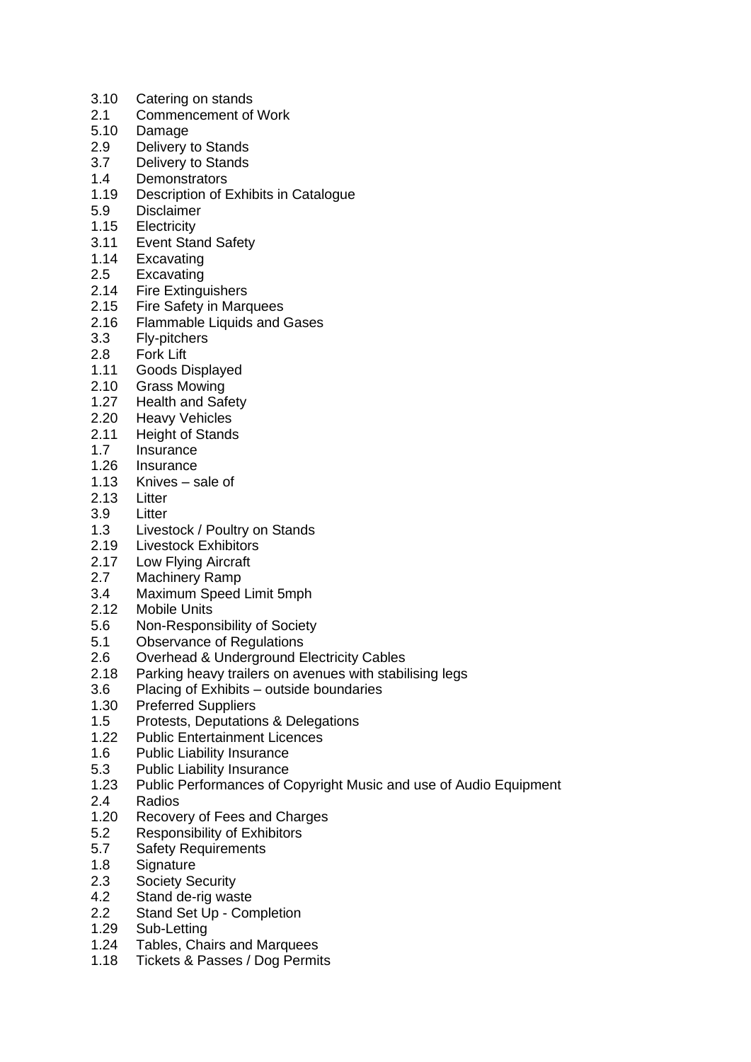- 3.10 Catering on stands
- 2.1 Commencement of Work
- 5.10 Damage
- 2.9 Delivery to Stands
- 3.7 Delivery to Stands
- 1.4 Demonstrators
- 1.19 Description of Exhibits in Catalogue
- 5.9 Disclaimer
- 1.15 Electricity
- 3.11 Event Stand Safety
- 1.14 Excavating
- 2.5 Excavating<br>2.14 Fire Exting
- **Fire Extinguishers**
- 2.15 Fire Safety in Marquees
- 2.16 Flammable Liquids and Gases
- 3.3 Fly-pitchers
- 2.8 Fork Lift
- 1.11 Goods Displayed
- 2.10 Grass Mowing
- 1.27 Health and Safety
- 2.20 Heavy Vehicles
- 2.11 Height of Stands
- 1.7 Insurance
- 1.26 Insurance
- 1.13 Knives sale of
- 2.13 Litter
- 3.9 Litter
- 1.3 Livestock / Poultry on Stands<br>2.19 Livestock Exhibitors
- **Livestock Exhibitors**
- 2.17 Low Flying Aircraft
- 2.7 Machinery Ramp
- 3.4 Maximum Speed Limit 5mph
- 2.12 Mobile Units
- 5.6 Non-Responsibility of Society
- 5.1 Observance of Regulations
- 2.6 Overhead & Underground Electricity Cables
- 2.18 Parking heavy trailers on avenues with stabilising legs
- 3.6 Placing of Exhibits outside boundaries
- 1.30 Preferred Suppliers
- 1.5 Protests, Deputations & Delegations
- 1.22 Public Entertainment Licences
- 1.6 Public Liability Insurance
- 5.3 Public Liability Insurance<br>1.23 Public Performances of C
- Public Performances of Copyright Music and use of Audio Equipment
- 2.4 Radios
- 1.20 Recovery of Fees and Charges
- 5.2 Responsibility of Exhibitors
- 5.7 Safety Requirements
- 1.8 Signature
- 2.3 Society Security
- 4.2 Stand de-rig waste
- 2.2 Stand Set Up Completion
- 1.29 Sub-Letting<br>1.24 Tables, Cha
- Tables, Chairs and Marquees
- 1.18 Tickets & Passes / Dog Permits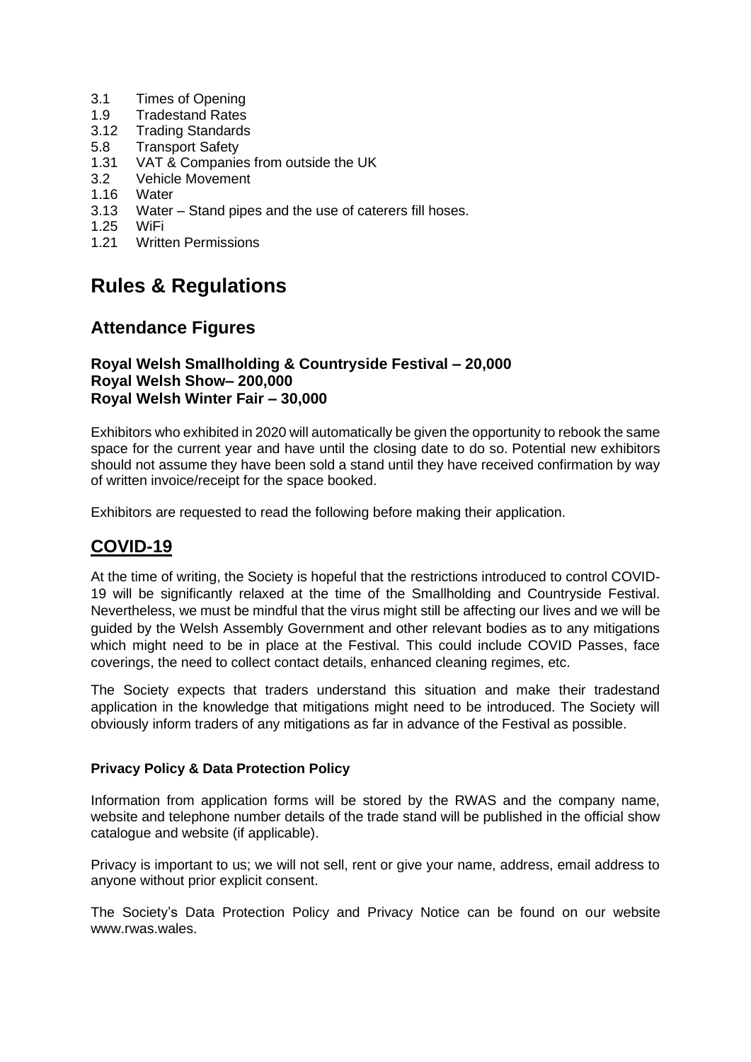- 3.1 Times of Opening
- 1.9 Tradestand Rates
- 3.12 Trading Standards
- 5.8 Transport Safety
- 1.31 VAT & Companies from outside the UK
- 3.2 Vehicle Movement
- 1.16 Water
- 3.13 Water Stand pipes and the use of caterers fill hoses.
- 1.25 WiFi
- 1.21 Written Permissions

### **Rules & Regulations**

### **Attendance Figures**

#### **Royal Welsh Smallholding & Countryside Festival – 20,000 Royal Welsh Show– 200,000 Royal Welsh Winter Fair – 30,000**

Exhibitors who exhibited in 2020 will automatically be given the opportunity to rebook the same space for the current year and have until the closing date to do so. Potential new exhibitors should not assume they have been sold a stand until they have received confirmation by way of written invoice/receipt for the space booked.

Exhibitors are requested to read the following before making their application.

### **COVID-19**

At the time of writing, the Society is hopeful that the restrictions introduced to control COVID-19 will be significantly relaxed at the time of the Smallholding and Countryside Festival. Nevertheless, we must be mindful that the virus might still be affecting our lives and we will be guided by the Welsh Assembly Government and other relevant bodies as to any mitigations which might need to be in place at the Festival. This could include COVID Passes, face coverings, the need to collect contact details, enhanced cleaning regimes, etc.

The Society expects that traders understand this situation and make their tradestand application in the knowledge that mitigations might need to be introduced. The Society will obviously inform traders of any mitigations as far in advance of the Festival as possible.

#### **Privacy Policy & Data Protection Policy**

Information from application forms will be stored by the RWAS and the company name, website and telephone number details of the trade stand will be published in the official show catalogue and website (if applicable).

Privacy is important to us; we will not sell, rent or give your name, address, email address to anyone without prior explicit consent.

The Society's Data Protection Policy and Privacy Notice can be found on our website www.rwas.wales.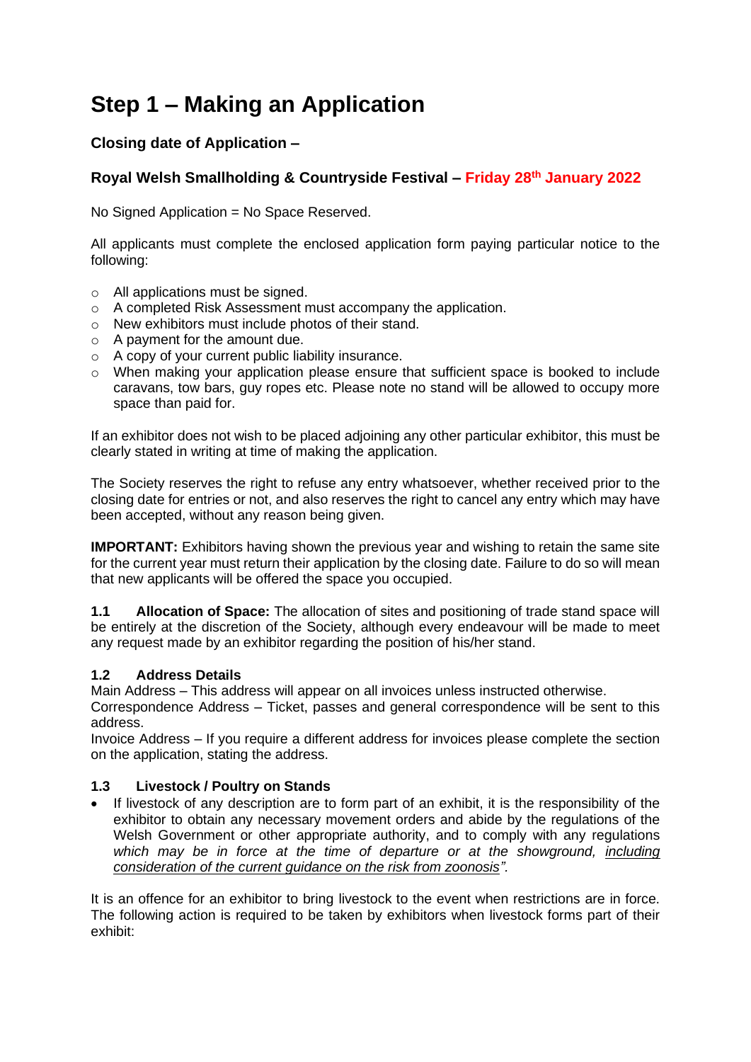# **Step 1 – Making an Application**

### **Closing date of Application –**

#### **Royal Welsh Smallholding & Countryside Festival – Friday 28th January 2022**

No Signed Application = No Space Reserved.

All applicants must complete the enclosed application form paying particular notice to the following:

- o All applications must be signed.
- o A completed Risk Assessment must accompany the application.
- o New exhibitors must include photos of their stand.
- o A payment for the amount due.
- o A copy of your current public liability insurance.
- o When making your application please ensure that sufficient space is booked to include caravans, tow bars, guy ropes etc. Please note no stand will be allowed to occupy more space than paid for.

If an exhibitor does not wish to be placed adjoining any other particular exhibitor, this must be clearly stated in writing at time of making the application.

The Society reserves the right to refuse any entry whatsoever, whether received prior to the closing date for entries or not, and also reserves the right to cancel any entry which may have been accepted, without any reason being given.

**IMPORTANT:** Exhibitors having shown the previous year and wishing to retain the same site for the current year must return their application by the closing date. Failure to do so will mean that new applicants will be offered the space you occupied.

**1.1 Allocation of Space:** The allocation of sites and positioning of trade stand space will be entirely at the discretion of the Society, although every endeavour will be made to meet any request made by an exhibitor regarding the position of his/her stand.

#### **1.2 Address Details**

Main Address – This address will appear on all invoices unless instructed otherwise.

Correspondence Address – Ticket, passes and general correspondence will be sent to this address.

Invoice Address – If you require a different address for invoices please complete the section on the application, stating the address.

#### **1.3 Livestock / Poultry on Stands**

• If livestock of any description are to form part of an exhibit, it is the responsibility of the exhibitor to obtain any necessary movement orders and abide by the regulations of the Welsh Government or other appropriate authority, and to comply with any regulations which may be in force at the time of departure or at the showground, including *consideration of the current guidance on the risk from zoonosis".*

It is an offence for an exhibitor to bring livestock to the event when restrictions are in force. The following action is required to be taken by exhibitors when livestock forms part of their exhibit: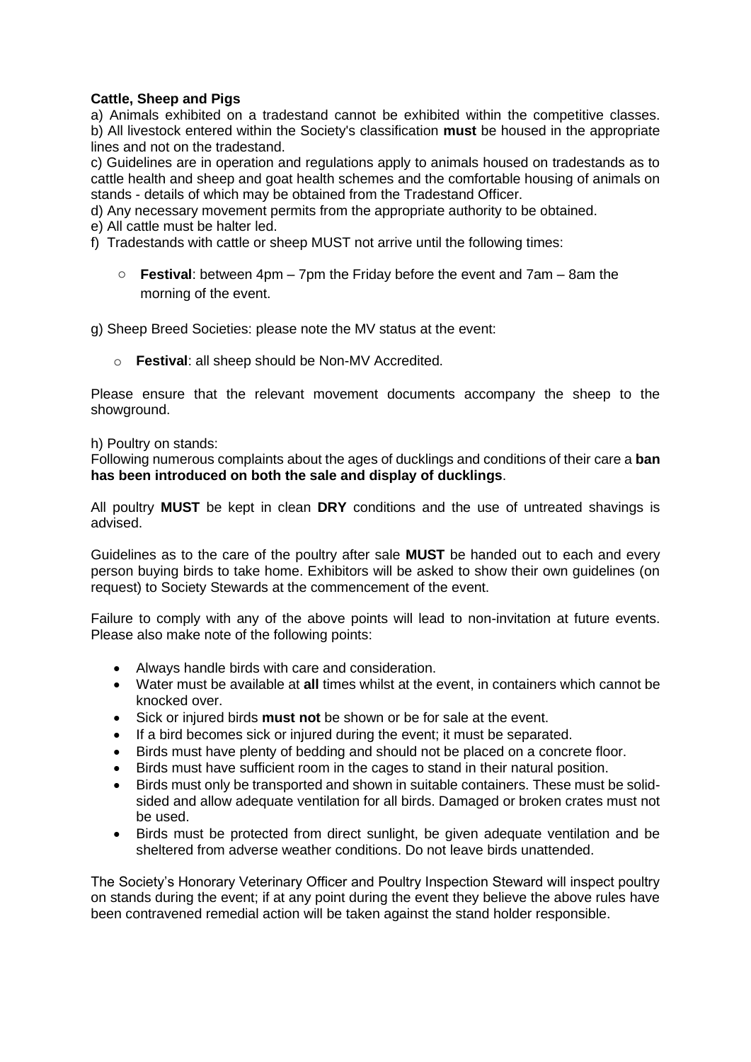#### **Cattle, Sheep and Pigs**

a) Animals exhibited on a tradestand cannot be exhibited within the competitive classes. b) All livestock entered within the Society's classification **must** be housed in the appropriate lines and not on the tradestand.

c) Guidelines are in operation and regulations apply to animals housed on tradestands as to cattle health and sheep and goat health schemes and the comfortable housing of animals on stands - details of which may be obtained from the Tradestand Officer.

d) Any necessary movement permits from the appropriate authority to be obtained.

e) All cattle must be halter led.

- f) Tradestands with cattle or sheep MUST not arrive until the following times:
	- o **Festival**: between 4pm 7pm the Friday before the event and 7am 8am the morning of the event.

g) Sheep Breed Societies: please note the MV status at the event:

o **Festival**: all sheep should be Non-MV Accredited.

Please ensure that the relevant movement documents accompany the sheep to the showground.

#### h) Poultry on stands:

Following numerous complaints about the ages of ducklings and conditions of their care a **ban has been introduced on both the sale and display of ducklings**.

All poultry **MUST** be kept in clean **DRY** conditions and the use of untreated shavings is advised.

Guidelines as to the care of the poultry after sale **MUST** be handed out to each and every person buying birds to take home. Exhibitors will be asked to show their own guidelines (on request) to Society Stewards at the commencement of the event.

Failure to comply with any of the above points will lead to non-invitation at future events. Please also make note of the following points:

- Always handle birds with care and consideration.
- Water must be available at **all** times whilst at the event, in containers which cannot be knocked over.
- Sick or injured birds **must not** be shown or be for sale at the event.
- If a bird becomes sick or injured during the event; it must be separated.
- Birds must have plenty of bedding and should not be placed on a concrete floor.
- Birds must have sufficient room in the cages to stand in their natural position.
- Birds must only be transported and shown in suitable containers. These must be solidsided and allow adequate ventilation for all birds. Damaged or broken crates must not be used.
- Birds must be protected from direct sunlight, be given adequate ventilation and be sheltered from adverse weather conditions. Do not leave birds unattended.

The Society's Honorary Veterinary Officer and Poultry Inspection Steward will inspect poultry on stands during the event; if at any point during the event they believe the above rules have been contravened remedial action will be taken against the stand holder responsible.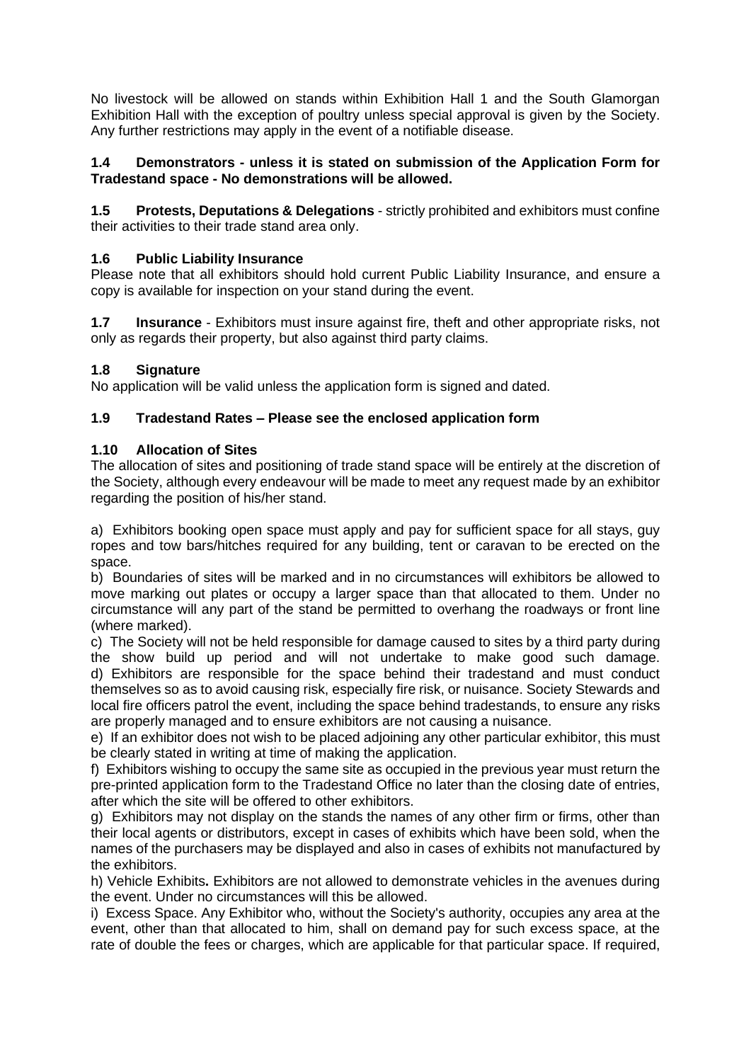No livestock will be allowed on stands within Exhibition Hall 1 and the South Glamorgan Exhibition Hall with the exception of poultry unless special approval is given by the Society. Any further restrictions may apply in the event of a notifiable disease.

#### **1.4 Demonstrators - unless it is stated on submission of the Application Form for Tradestand space - No demonstrations will be allowed.**

**1.5 Protests, Deputations & Delegations** - strictly prohibited and exhibitors must confine their activities to their trade stand area only.

#### **1.6 Public Liability Insurance**

Please note that all exhibitors should hold current Public Liability Insurance, and ensure a copy is available for inspection on your stand during the event.

**1.7 Insurance** - Exhibitors must insure against fire, theft and other appropriate risks, not only as regards their property, but also against third party claims.

#### **1.8 Signature**

No application will be valid unless the application form is signed and dated.

#### **1.9 Tradestand Rates – Please see the enclosed application form**

#### **1.10 Allocation of Sites**

The allocation of sites and positioning of trade stand space will be entirely at the discretion of the Society, although every endeavour will be made to meet any request made by an exhibitor regarding the position of his/her stand.

a) Exhibitors booking open space must apply and pay for sufficient space for all stays, guy ropes and tow bars/hitches required for any building, tent or caravan to be erected on the space.

b) Boundaries of sites will be marked and in no circumstances will exhibitors be allowed to move marking out plates or occupy a larger space than that allocated to them. Under no circumstance will any part of the stand be permitted to overhang the roadways or front line (where marked).

c) The Society will not be held responsible for damage caused to sites by a third party during the show build up period and will not undertake to make good such damage. d) Exhibitors are responsible for the space behind their tradestand and must conduct themselves so as to avoid causing risk, especially fire risk, or nuisance. Society Stewards and local fire officers patrol the event, including the space behind tradestands, to ensure any risks are properly managed and to ensure exhibitors are not causing a nuisance.

e) If an exhibitor does not wish to be placed adjoining any other particular exhibitor, this must be clearly stated in writing at time of making the application.

f) Exhibitors wishing to occupy the same site as occupied in the previous year must return the pre-printed application form to the Tradestand Office no later than the closing date of entries, after which the site will be offered to other exhibitors.

g) Exhibitors may not display on the stands the names of any other firm or firms, other than their local agents or distributors, except in cases of exhibits which have been sold, when the names of the purchasers may be displayed and also in cases of exhibits not manufactured by the exhibitors.

h) Vehicle Exhibits**.** Exhibitors are not allowed to demonstrate vehicles in the avenues during the event. Under no circumstances will this be allowed.

i) Excess Space. Any Exhibitor who, without the Society's authority, occupies any area at the event, other than that allocated to him, shall on demand pay for such excess space, at the rate of double the fees or charges, which are applicable for that particular space. If required,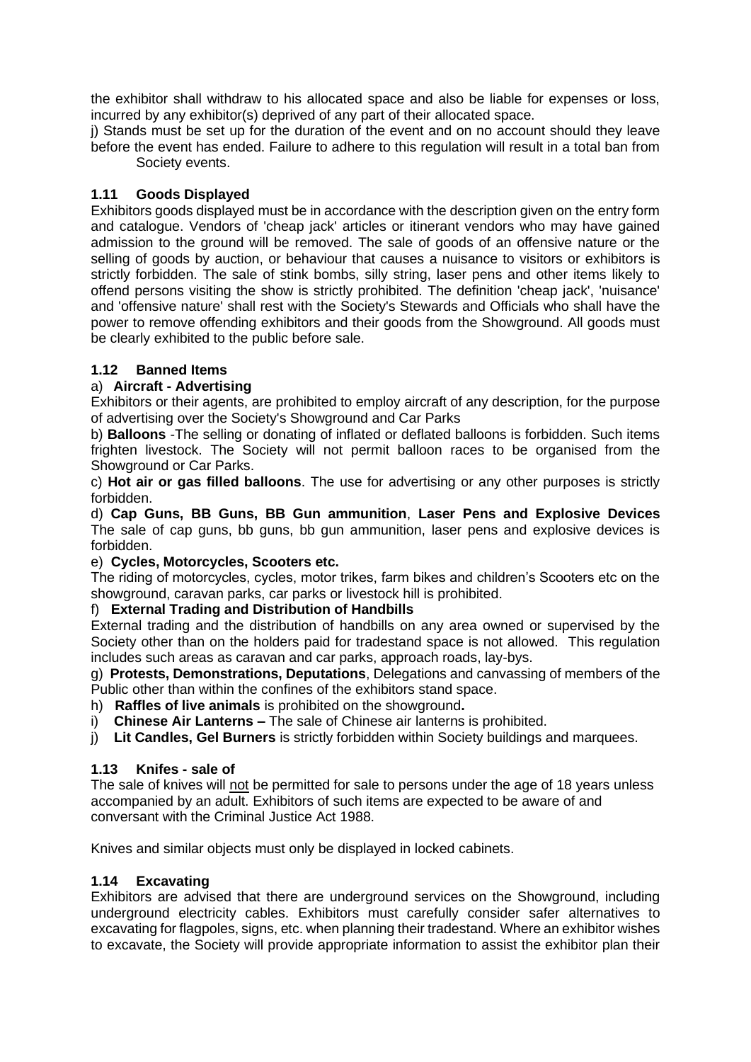the exhibitor shall withdraw to his allocated space and also be liable for expenses or loss, incurred by any exhibitor(s) deprived of any part of their allocated space.

j) Stands must be set up for the duration of the event and on no account should they leave before the event has ended. Failure to adhere to this regulation will result in a total ban from Society events.

#### **1.11 Goods Displayed**

Exhibitors goods displayed must be in accordance with the description given on the entry form and catalogue. Vendors of 'cheap jack' articles or itinerant vendors who may have gained admission to the ground will be removed. The sale of goods of an offensive nature or the selling of goods by auction, or behaviour that causes a nuisance to visitors or exhibitors is strictly forbidden. The sale of stink bombs, silly string, laser pens and other items likely to offend persons visiting the show is strictly prohibited. The definition 'cheap jack', 'nuisance' and 'offensive nature' shall rest with the Society's Stewards and Officials who shall have the power to remove offending exhibitors and their goods from the Showground. All goods must be clearly exhibited to the public before sale.

#### **1.12 Banned Items**

#### a) **Aircraft - Advertising**

Exhibitors or their agents, are prohibited to employ aircraft of any description, for the purpose of advertising over the Society's Showground and Car Parks

b) **Balloons** -The selling or donating of inflated or deflated balloons is forbidden. Such items frighten livestock. The Society will not permit balloon races to be organised from the Showground or Car Parks.

c) **Hot air or gas filled balloons**. The use for advertising or any other purposes is strictly forbidden.

d) **Cap Guns, BB Guns, BB Gun ammunition**, **Laser Pens and Explosive Devices** The sale of cap guns, bb guns, bb gun ammunition, laser pens and explosive devices is forbidden.

#### e) **Cycles, Motorcycles, Scooters etc.**

The riding of motorcycles, cycles, motor trikes, farm bikes and children's Scooters etc on the showground, caravan parks, car parks or livestock hill is prohibited.

#### f) **External Trading and Distribution of Handbills**

External trading and the distribution of handbills on any area owned or supervised by the Society other than on the holders paid for tradestand space is not allowed. This regulation includes such areas as caravan and car parks, approach roads, lay-bys.

g) **Protests, Demonstrations, Deputations**, Delegations and canvassing of members of the Public other than within the confines of the exhibitors stand space.

h) **Raffles of live animals** is prohibited on the showground**.**

- i) **Chinese Air Lanterns –** The sale of Chinese air lanterns is prohibited.
- j) **Lit Candles, Gel Burners** is strictly forbidden within Society buildings and marquees.

#### **1.13 Knifes - sale of**

The sale of knives will not be permitted for sale to persons under the age of 18 years unless accompanied by an adult. Exhibitors of such items are expected to be aware of and conversant with the Criminal Justice Act 1988.

Knives and similar objects must only be displayed in locked cabinets.

#### **1.14 Excavating**

Exhibitors are advised that there are underground services on the Showground, including underground electricity cables. Exhibitors must carefully consider safer alternatives to excavating for flagpoles, signs, etc. when planning their tradestand. Where an exhibitor wishes to excavate, the Society will provide appropriate information to assist the exhibitor plan their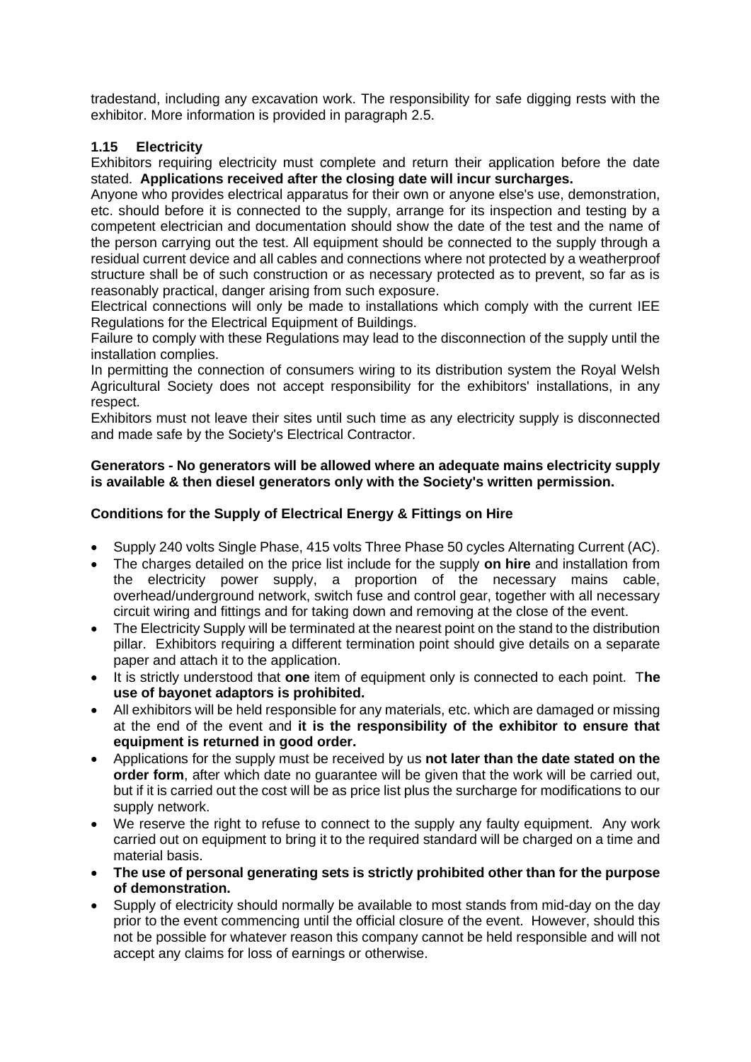tradestand, including any excavation work. The responsibility for safe digging rests with the exhibitor. More information is provided in paragraph 2.5.

#### **1.15 Electricity**

Exhibitors requiring electricity must complete and return their application before the date stated. **Applications received after the closing date will incur surcharges.**

Anyone who provides electrical apparatus for their own or anyone else's use, demonstration, etc. should before it is connected to the supply, arrange for its inspection and testing by a competent electrician and documentation should show the date of the test and the name of the person carrying out the test. All equipment should be connected to the supply through a residual current device and all cables and connections where not protected by a weatherproof structure shall be of such construction or as necessary protected as to prevent, so far as is reasonably practical, danger arising from such exposure.

Electrical connections will only be made to installations which comply with the current IEE Regulations for the Electrical Equipment of Buildings.

Failure to comply with these Regulations may lead to the disconnection of the supply until the installation complies.

In permitting the connection of consumers wiring to its distribution system the Royal Welsh Agricultural Society does not accept responsibility for the exhibitors' installations, in any respect.

Exhibitors must not leave their sites until such time as any electricity supply is disconnected and made safe by the Society's Electrical Contractor.

#### **Generators - No generators will be allowed where an adequate mains electricity supply is available & then diesel generators only with the Society's written permission.**

#### **Conditions for the Supply of Electrical Energy & Fittings on Hire**

- Supply 240 volts Single Phase, 415 volts Three Phase 50 cycles Alternating Current (AC).
- The charges detailed on the price list include for the supply **on hire** and installation from the electricity power supply, a proportion of the necessary mains cable, overhead/underground network, switch fuse and control gear, together with all necessary circuit wiring and fittings and for taking down and removing at the close of the event.
- The Electricity Supply will be terminated at the nearest point on the stand to the distribution pillar. Exhibitors requiring a different termination point should give details on a separate paper and attach it to the application.
- It is strictly understood that **one** item of equipment only is connected to each point. T**he use of bayonet adaptors is prohibited.**
- All exhibitors will be held responsible for any materials, etc. which are damaged or missing at the end of the event and **it is the responsibility of the exhibitor to ensure that equipment is returned in good order.**
- Applications for the supply must be received by us **not later than the date stated on the order form**, after which date no quarantee will be given that the work will be carried out, but if it is carried out the cost will be as price list plus the surcharge for modifications to our supply network.
- We reserve the right to refuse to connect to the supply any faulty equipment. Any work carried out on equipment to bring it to the required standard will be charged on a time and material basis.
- **The use of personal generating sets is strictly prohibited other than for the purpose of demonstration.**
- Supply of electricity should normally be available to most stands from mid-day on the day prior to the event commencing until the official closure of the event. However, should this not be possible for whatever reason this company cannot be held responsible and will not accept any claims for loss of earnings or otherwise.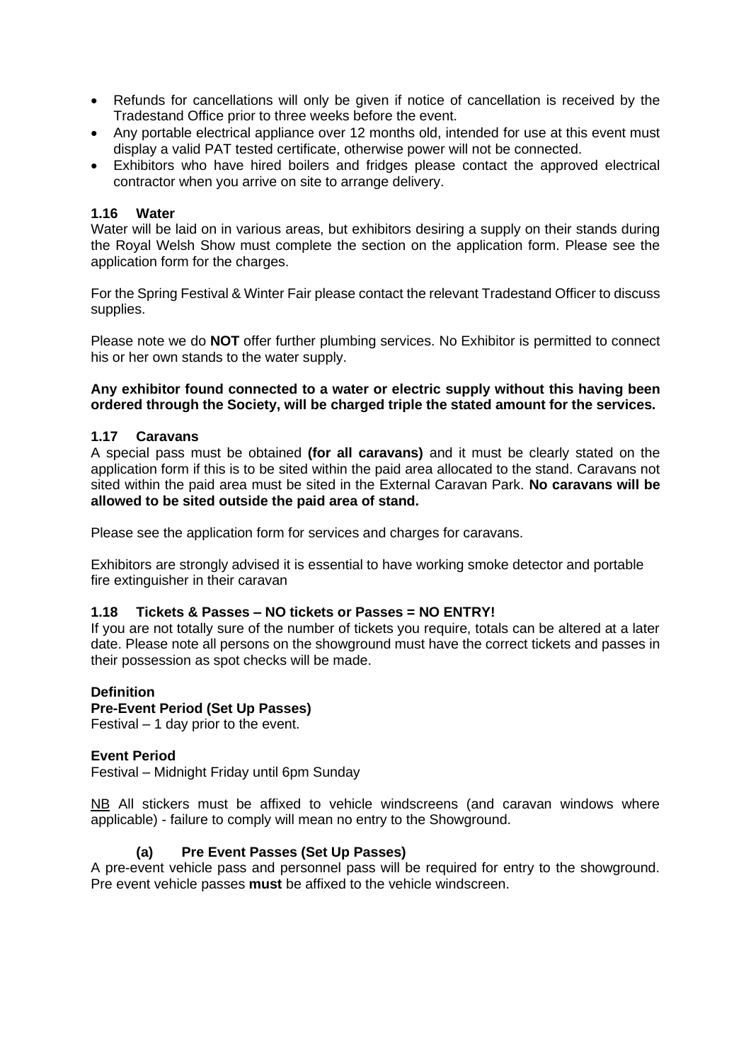- Refunds for cancellations will only be given if notice of cancellation is received by the Tradestand Office prior to three weeks before the event.
- Any portable electrical appliance over 12 months old, intended for use at this event must display a valid PAT tested certificate, otherwise power will not be connected.
- Exhibitors who have hired boilers and fridges please contact the approved electrical contractor when you arrive on site to arrange delivery.

#### **1.16 Water**

Water will be laid on in various areas, but exhibitors desiring a supply on their stands during the Royal Welsh Show must complete the section on the application form. Please see the application form for the charges.

For the Spring Festival & Winter Fair please contact the relevant Tradestand Officer to discuss supplies.

Please note we do **NOT** offer further plumbing services. No Exhibitor is permitted to connect his or her own stands to the water supply.

#### **Any exhibitor found connected to a water or electric supply without this having been ordered through the Society, will be charged triple the stated amount for the services.**

#### **1.17 Caravans**

A special pass must be obtained **(for all caravans)** and it must be clearly stated on the application form if this is to be sited within the paid area allocated to the stand. Caravans not sited within the paid area must be sited in the External Caravan Park. **No caravans will be allowed to be sited outside the paid area of stand.**

Please see the application form for services and charges for caravans.

Exhibitors are strongly advised it is essential to have working smoke detector and portable fire extinguisher in their caravan

#### **1.18 Tickets & Passes – NO tickets or Passes = NO ENTRY!**

If you are not totally sure of the number of tickets you require, totals can be altered at a later date. Please note all persons on the showground must have the correct tickets and passes in their possession as spot checks will be made.

#### **Definition**

#### **Pre-Event Period (Set Up Passes)**

Festival – 1 day prior to the event.

#### **Event Period**

Festival – Midnight Friday until 6pm Sunday

NB All stickers must be affixed to vehicle windscreens (and caravan windows where applicable) - failure to comply will mean no entry to the Showground.

#### **(a) Pre Event Passes (Set Up Passes)**

A pre-event vehicle pass and personnel pass will be required for entry to the showground. Pre event vehicle passes **must** be affixed to the vehicle windscreen.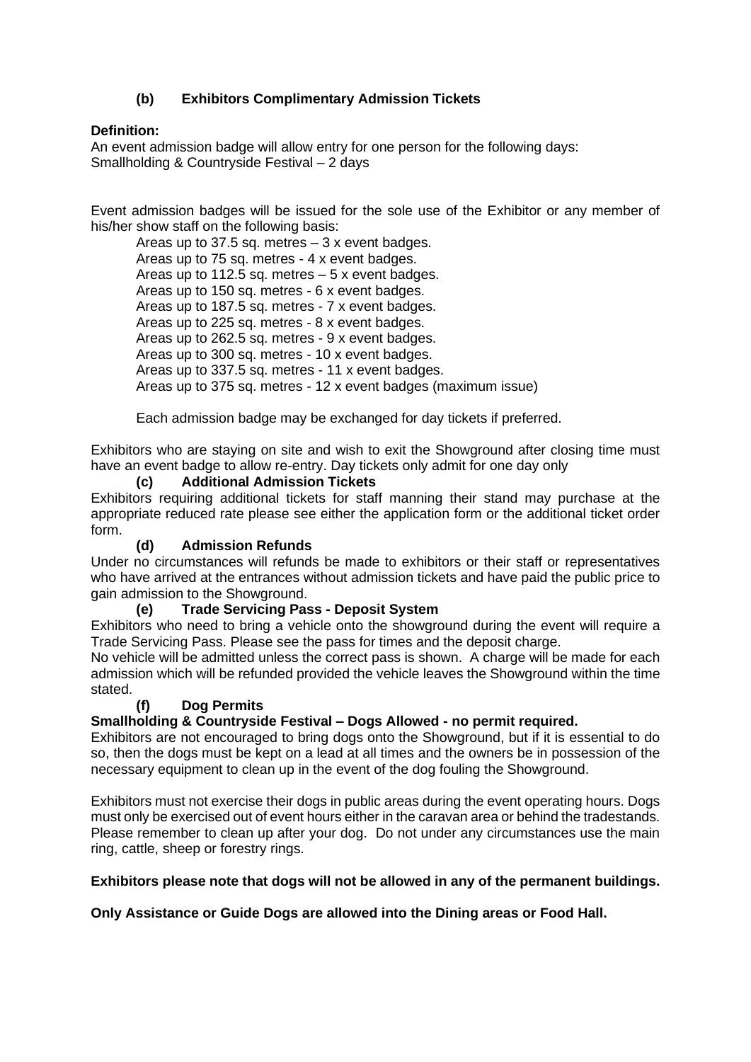#### **(b) Exhibitors Complimentary Admission Tickets**

#### **Definition:**

An event admission badge will allow entry for one person for the following days: Smallholding & Countryside Festival – 2 days

Event admission badges will be issued for the sole use of the Exhibitor or any member of his/her show staff on the following basis:

Areas up to 37.5 sq. metres  $-3x$  event badges. Areas up to 75 sq. metres - 4 x event badges. Areas up to 112.5 sq. metres  $-5x$  event badges. Areas up to 150 sq. metres - 6 x event badges. Areas up to 187.5 sq. metres - 7 x event badges. Areas up to 225 sq. metres - 8 x event badges. Areas up to 262.5 sq. metres - 9 x event badges. Areas up to 300 sq. metres - 10 x event badges. Areas up to 337.5 sq. metres - 11 x event badges. Areas up to 375 sq. metres - 12 x event badges (maximum issue)

Each admission badge may be exchanged for day tickets if preferred.

Exhibitors who are staying on site and wish to exit the Showground after closing time must have an event badge to allow re-entry. Day tickets only admit for one day only

#### **(c) Additional Admission Tickets**

Exhibitors requiring additional tickets for staff manning their stand may purchase at the appropriate reduced rate please see either the application form or the additional ticket order form.

#### **(d) Admission Refunds**

Under no circumstances will refunds be made to exhibitors or their staff or representatives who have arrived at the entrances without admission tickets and have paid the public price to gain admission to the Showground.

#### **(e) Trade Servicing Pass - Deposit System**

Exhibitors who need to bring a vehicle onto the showground during the event will require a Trade Servicing Pass. Please see the pass for times and the deposit charge.

No vehicle will be admitted unless the correct pass is shown. A charge will be made for each admission which will be refunded provided the vehicle leaves the Showground within the time stated.

#### **(f) Dog Permits**

**Smallholding & Countryside Festival – Dogs Allowed - no permit required.**

Exhibitors are not encouraged to bring dogs onto the Showground, but if it is essential to do so, then the dogs must be kept on a lead at all times and the owners be in possession of the necessary equipment to clean up in the event of the dog fouling the Showground.

Exhibitors must not exercise their dogs in public areas during the event operating hours. Dogs must only be exercised out of event hours either in the caravan area or behind the tradestands. Please remember to clean up after your dog. Do not under any circumstances use the main ring, cattle, sheep or forestry rings.

#### **Exhibitors please note that dogs will not be allowed in any of the permanent buildings.**

**Only Assistance or Guide Dogs are allowed into the Dining areas or Food Hall.**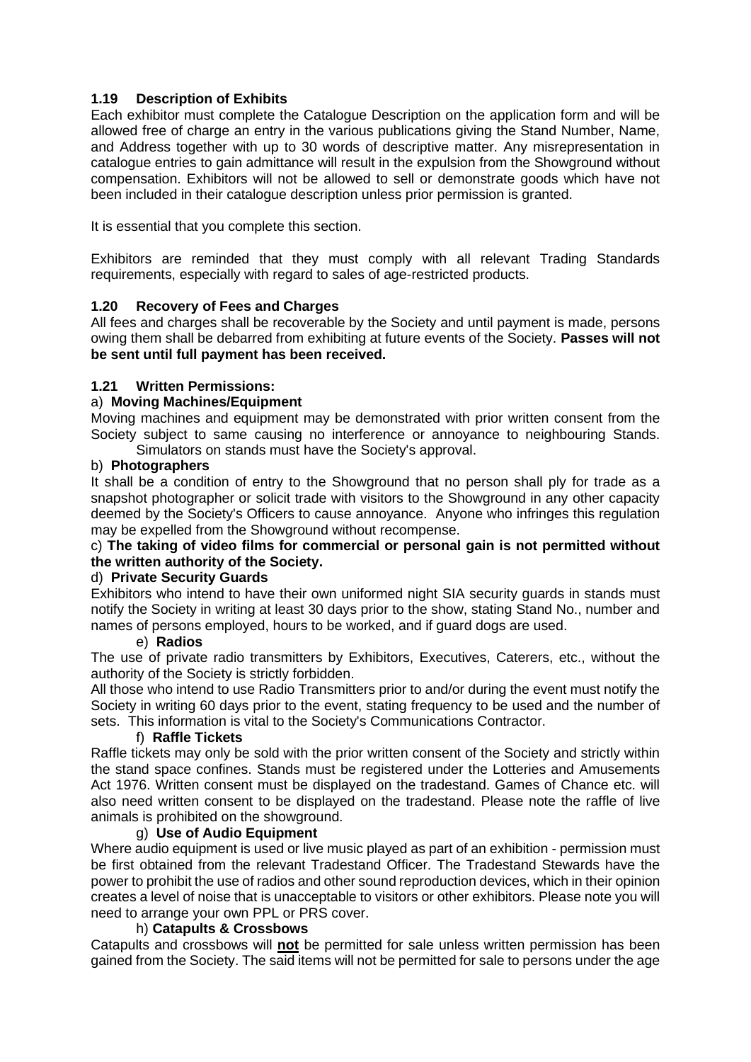#### **1.19 Description of Exhibits**

Each exhibitor must complete the Catalogue Description on the application form and will be allowed free of charge an entry in the various publications giving the Stand Number, Name, and Address together with up to 30 words of descriptive matter. Any misrepresentation in catalogue entries to gain admittance will result in the expulsion from the Showground without compensation. Exhibitors will not be allowed to sell or demonstrate goods which have not been included in their catalogue description unless prior permission is granted.

It is essential that you complete this section.

Exhibitors are reminded that they must comply with all relevant Trading Standards requirements, especially with regard to sales of age-restricted products.

#### **1.20 Recovery of Fees and Charges**

All fees and charges shall be recoverable by the Society and until payment is made, persons owing them shall be debarred from exhibiting at future events of the Society. **Passes will not be sent until full payment has been received.**

#### **1.21 Written Permissions:**

#### a) **Moving Machines/Equipment**

Moving machines and equipment may be demonstrated with prior written consent from the Society subject to same causing no interference or annoyance to neighbouring Stands. Simulators on stands must have the Society's approval.

#### b) **Photographers**

It shall be a condition of entry to the Showground that no person shall ply for trade as a snapshot photographer or solicit trade with visitors to the Showground in any other capacity deemed by the Society's Officers to cause annoyance. Anyone who infringes this regulation may be expelled from the Showground without recompense.

#### c) **The taking of video films for commercial or personal gain is not permitted without the written authority of the Society.**

#### d) **Private Security Guards**

Exhibitors who intend to have their own uniformed night SIA security guards in stands must notify the Society in writing at least 30 days prior to the show, stating Stand No., number and names of persons employed, hours to be worked, and if guard dogs are used.

#### e) **Radios**

The use of private radio transmitters by Exhibitors, Executives, Caterers, etc., without the authority of the Society is strictly forbidden.

All those who intend to use Radio Transmitters prior to and/or during the event must notify the Society in writing 60 days prior to the event, stating frequency to be used and the number of sets. This information is vital to the Society's Communications Contractor.

#### f) **Raffle Tickets**

Raffle tickets may only be sold with the prior written consent of the Society and strictly within the stand space confines. Stands must be registered under the Lotteries and Amusements Act 1976. Written consent must be displayed on the tradestand. Games of Chance etc. will also need written consent to be displayed on the tradestand. Please note the raffle of live animals is prohibited on the showground.

#### g) **Use of Audio Equipment**

Where audio equipment is used or live music played as part of an exhibition - permission must be first obtained from the relevant Tradestand Officer. The Tradestand Stewards have the power to prohibit the use of radios and other sound reproduction devices, which in their opinion creates a level of noise that is unacceptable to visitors or other exhibitors. Please note you will need to arrange your own PPL or PRS cover.

#### h) **Catapults & Crossbows**

Catapults and crossbows will **not** be permitted for sale unless written permission has been gained from the Society. The said items will not be permitted for sale to persons under the age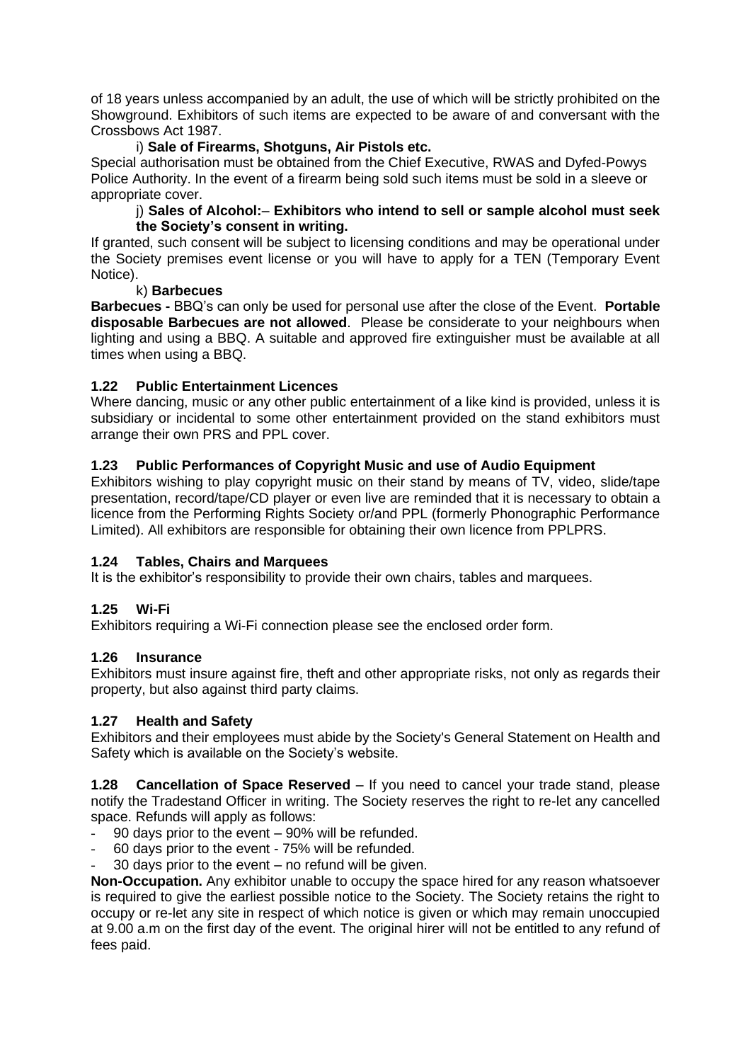of 18 years unless accompanied by an adult, the use of which will be strictly prohibited on the Showground. Exhibitors of such items are expected to be aware of and conversant with the Crossbows Act 1987.

#### i) **Sale of Firearms, Shotguns, Air Pistols etc.**

Special authorisation must be obtained from the Chief Executive, RWAS and Dyfed-Powys Police Authority. In the event of a firearm being sold such items must be sold in a sleeve or appropriate cover.

#### j) **Sales of Alcohol:**– **Exhibitors who intend to sell or sample alcohol must seek the Society's consent in writing.**

If granted, such consent will be subject to licensing conditions and may be operational under the Society premises event license or you will have to apply for a TEN (Temporary Event Notice).

#### k) **Barbecues**

**Barbecues -** BBQ's can only be used for personal use after the close of the Event. **Portable disposable Barbecues are not allowed**. Please be considerate to your neighbours when lighting and using a BBQ. A suitable and approved fire extinguisher must be available at all times when using a BBQ.

#### **1.22 Public Entertainment Licences**

Where dancing, music or any other public entertainment of a like kind is provided, unless it is subsidiary or incidental to some other entertainment provided on the stand exhibitors must arrange their own PRS and PPL cover.

#### **1.23 Public Performances of Copyright Music and use of Audio Equipment**

Exhibitors wishing to play copyright music on their stand by means of TV, video, slide/tape presentation, record/tape/CD player or even live are reminded that it is necessary to obtain a licence from the Performing Rights Society or/and PPL (formerly Phonographic Performance Limited). All exhibitors are responsible for obtaining their own licence from PPLPRS.

#### **1.24 Tables, Chairs and Marquees**

It is the exhibitor's responsibility to provide their own chairs, tables and marquees.

#### **1.25 Wi-Fi**

Exhibitors requiring a Wi-Fi connection please see the enclosed order form.

#### **1.26 Insurance**

Exhibitors must insure against fire, theft and other appropriate risks, not only as regards their property, but also against third party claims.

#### **1.27 Health and Safety**

Exhibitors and their employees must abide by the Society's General Statement on Health and Safety which is available on the Society's website.

**1.28 Cancellation of Space Reserved** – If you need to cancel your trade stand, please notify the Tradestand Officer in writing. The Society reserves the right to re-let any cancelled space. Refunds will apply as follows:

- 90 days prior to the event 90% will be refunded.
- 60 days prior to the event 75% will be refunded.
- 30 days prior to the event  $-$  no refund will be given.

**Non-Occupation.** Any exhibitor unable to occupy the space hired for any reason whatsoever is required to give the earliest possible notice to the Society. The Society retains the right to occupy or re-let any site in respect of which notice is given or which may remain unoccupied at 9.00 a.m on the first day of the event. The original hirer will not be entitled to any refund of fees paid.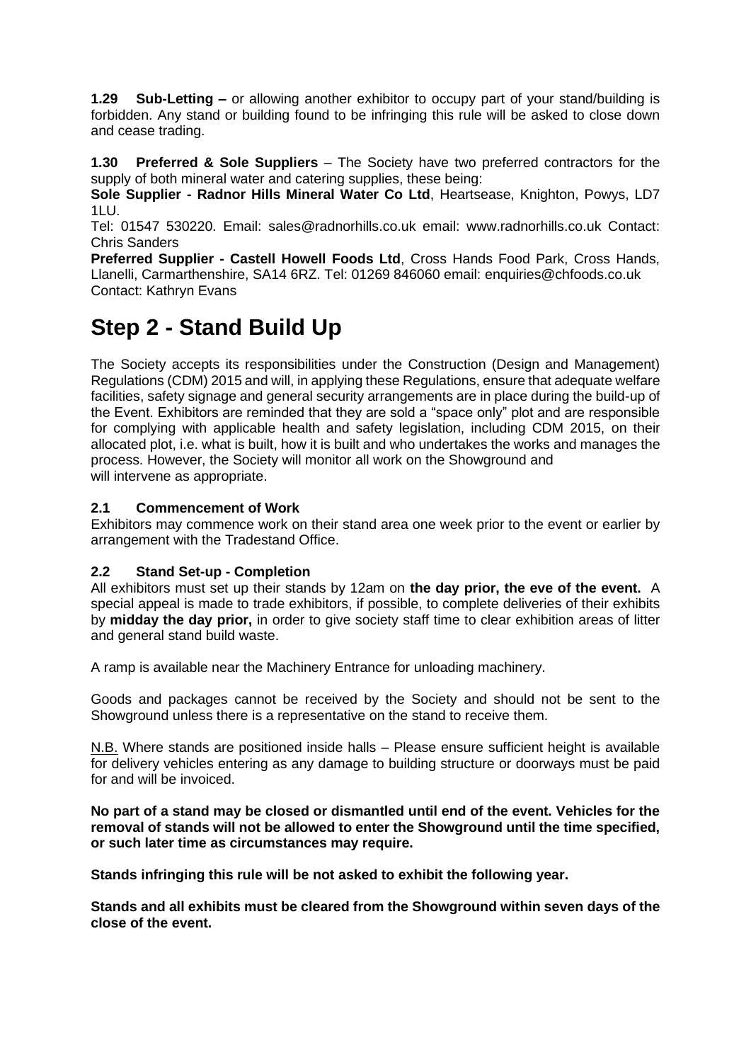**1.29 Sub-Letting –** or allowing another exhibitor to occupy part of your stand/building is forbidden. Any stand or building found to be infringing this rule will be asked to close down and cease trading.

**1.30 Preferred & Sole Suppliers** – The Society have two preferred contractors for the supply of both mineral water and catering supplies, these being:

**Sole Supplier - Radnor Hills Mineral Water Co Ltd**, Heartsease, Knighton, Powys, LD7 1LU.

Tel: 01547 530220. Email: sales@radnorhills.co.uk email: www.radnorhills.co.uk Contact: Chris Sanders

**Preferred Supplier - Castell Howell Foods Ltd**, Cross Hands Food Park, Cross Hands, Llanelli, Carmarthenshire, SA14 6RZ. Tel: 01269 846060 email: enquiries@chfoods.co.uk Contact: Kathryn Evans

## **Step 2 - Stand Build Up**

The Society accepts its responsibilities under the Construction (Design and Management) Regulations (CDM) 2015 and will, in applying these Regulations, ensure that adequate welfare facilities, safety signage and general security arrangements are in place during the build-up of the Event. Exhibitors are reminded that they are sold a "space only" plot and are responsible for complying with applicable health and safety legislation, including CDM 2015, on their allocated plot, i.e. what is built, how it is built and who undertakes the works and manages the process. However, the Society will monitor all work on the Showground and will intervene as appropriate.

#### **2.1 Commencement of Work**

Exhibitors may commence work on their stand area one week prior to the event or earlier by arrangement with the Tradestand Office.

#### **2.2 Stand Set-up - Completion**

All exhibitors must set up their stands by 12am on **the day prior, the eve of the event.** A special appeal is made to trade exhibitors, if possible, to complete deliveries of their exhibits by **midday the day prior,** in order to give society staff time to clear exhibition areas of litter and general stand build waste.

A ramp is available near the Machinery Entrance for unloading machinery.

Goods and packages cannot be received by the Society and should not be sent to the Showground unless there is a representative on the stand to receive them.

N.B. Where stands are positioned inside halls – Please ensure sufficient height is available for delivery vehicles entering as any damage to building structure or doorways must be paid for and will be invoiced.

**No part of a stand may be closed or dismantled until end of the event. Vehicles for the removal of stands will not be allowed to enter the Showground until the time specified, or such later time as circumstances may require.**

**Stands infringing this rule will be not asked to exhibit the following year.**

**Stands and all exhibits must be cleared from the Showground within seven days of the close of the event.**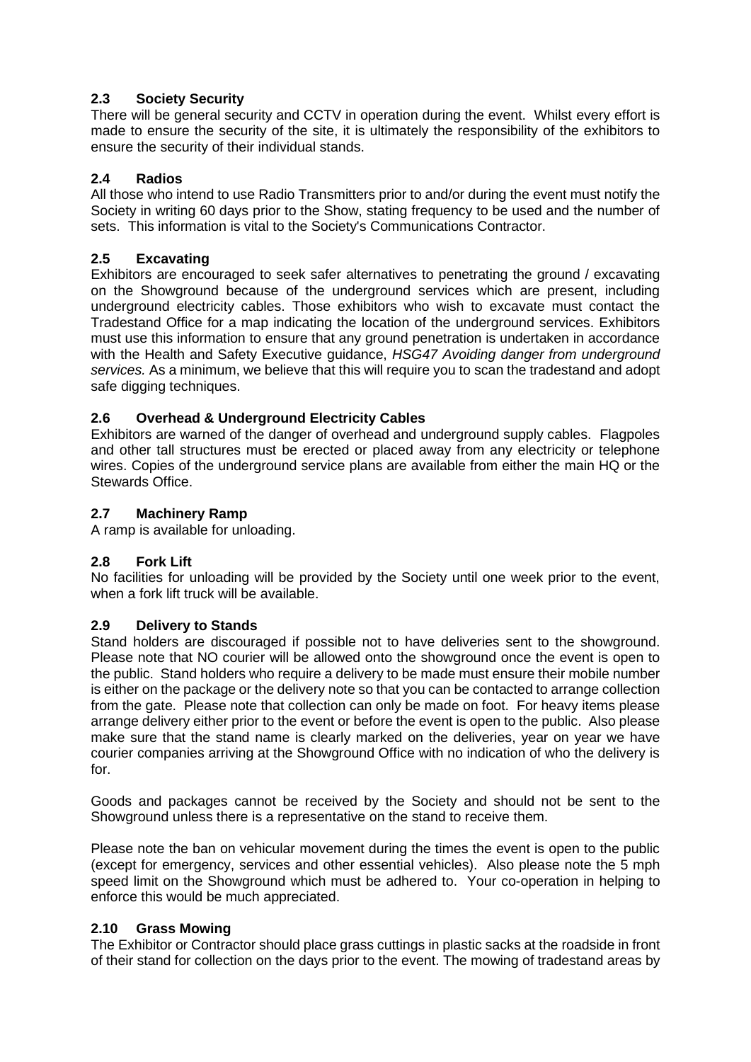#### **2.3 Society Security**

There will be general security and CCTV in operation during the event. Whilst every effort is made to ensure the security of the site, it is ultimately the responsibility of the exhibitors to ensure the security of their individual stands.

#### **2.4 Radios**

All those who intend to use Radio Transmitters prior to and/or during the event must notify the Society in writing 60 days prior to the Show, stating frequency to be used and the number of sets. This information is vital to the Society's Communications Contractor.

#### **2.5 Excavating**

Exhibitors are encouraged to seek safer alternatives to penetrating the ground / excavating on the Showground because of the underground services which are present, including underground electricity cables. Those exhibitors who wish to excavate must contact the Tradestand Office for a map indicating the location of the underground services. Exhibitors must use this information to ensure that any ground penetration is undertaken in accordance with the Health and Safety Executive guidance, *HSG47 Avoiding danger from underground services.* As a minimum, we believe that this will require you to scan the tradestand and adopt safe digging techniques.

#### **2.6 Overhead & Underground Electricity Cables**

Exhibitors are warned of the danger of overhead and underground supply cables. Flagpoles and other tall structures must be erected or placed away from any electricity or telephone wires. Copies of the underground service plans are available from either the main HQ or the Stewards Office.

#### **2.7 Machinery Ramp**

A ramp is available for unloading.

#### **2.8 Fork Lift**

No facilities for unloading will be provided by the Society until one week prior to the event, when a fork lift truck will be available.

#### **2.9 Delivery to Stands**

Stand holders are discouraged if possible not to have deliveries sent to the showground. Please note that NO courier will be allowed onto the showground once the event is open to the public. Stand holders who require a delivery to be made must ensure their mobile number is either on the package or the delivery note so that you can be contacted to arrange collection from the gate. Please note that collection can only be made on foot. For heavy items please arrange delivery either prior to the event or before the event is open to the public. Also please make sure that the stand name is clearly marked on the deliveries, year on year we have courier companies arriving at the Showground Office with no indication of who the delivery is for.

Goods and packages cannot be received by the Society and should not be sent to the Showground unless there is a representative on the stand to receive them.

Please note the ban on vehicular movement during the times the event is open to the public (except for emergency, services and other essential vehicles). Also please note the 5 mph speed limit on the Showground which must be adhered to. Your co-operation in helping to enforce this would be much appreciated.

#### **2.10 Grass Mowing**

The Exhibitor or Contractor should place grass cuttings in plastic sacks at the roadside in front of their stand for collection on the days prior to the event. The mowing of tradestand areas by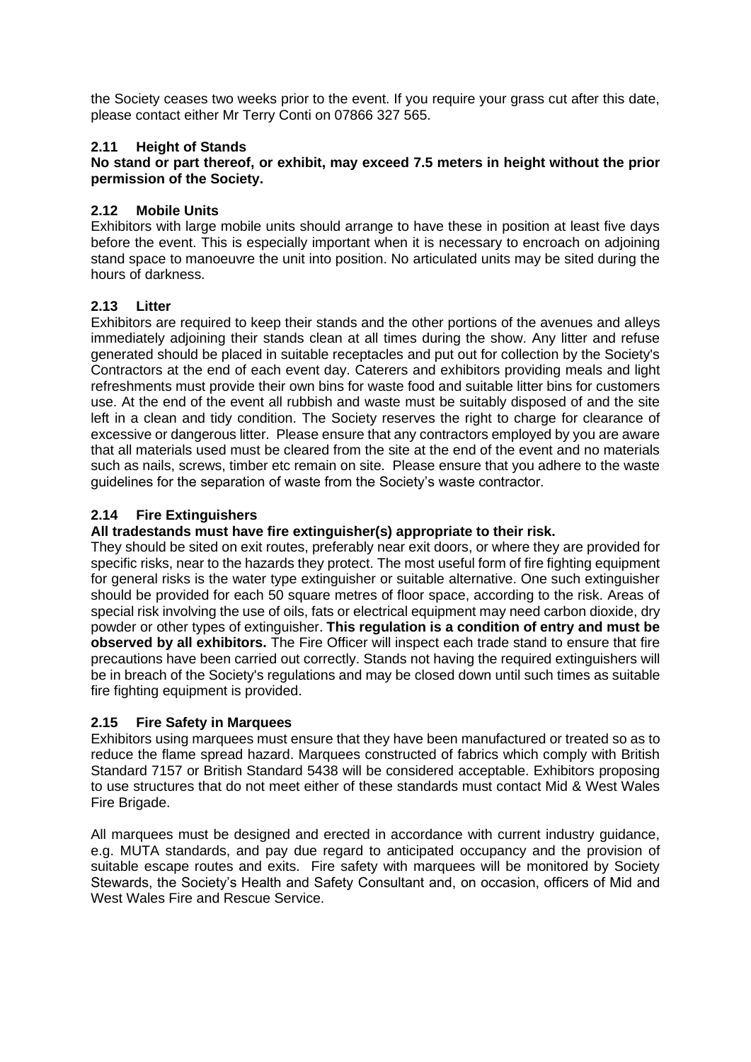the Society ceases two weeks prior to the event. If you require your grass cut after this date, please contact either Mr Terry Conti on 07866 327 565.

#### **2.11 Height of Stands**

#### **No stand or part thereof, or exhibit, may exceed 7.5 meters in height without the prior permission of the Society.**

#### **2.12 Mobile Units**

Exhibitors with large mobile units should arrange to have these in position at least five days before the event. This is especially important when it is necessary to encroach on adjoining stand space to manoeuvre the unit into position. No articulated units may be sited during the hours of darkness.

#### **2.13 Litter**

Exhibitors are required to keep their stands and the other portions of the avenues and alleys immediately adjoining their stands clean at all times during the show. Any litter and refuse generated should be placed in suitable receptacles and put out for collection by the Society's Contractors at the end of each event day. Caterers and exhibitors providing meals and light refreshments must provide their own bins for waste food and suitable litter bins for customers use. At the end of the event all rubbish and waste must be suitably disposed of and the site left in a clean and tidy condition. The Society reserves the right to charge for clearance of excessive or dangerous litter. Please ensure that any contractors employed by you are aware that all materials used must be cleared from the site at the end of the event and no materials such as nails, screws, timber etc remain on site. Please ensure that you adhere to the waste guidelines for the separation of waste from the Society's waste contractor.

#### **2.14 Fire Extinguishers**

#### **All tradestands must have fire extinguisher(s) appropriate to their risk.**

They should be sited on exit routes, preferably near exit doors, or where they are provided for specific risks, near to the hazards they protect. The most useful form of fire fighting equipment for general risks is the water type extinguisher or suitable alternative. One such extinguisher should be provided for each 50 square metres of floor space, according to the risk. Areas of special risk involving the use of oils, fats or electrical equipment may need carbon dioxide, dry powder or other types of extinguisher. **This regulation is a condition of entry and must be observed by all exhibitors.** The Fire Officer will inspect each trade stand to ensure that fire precautions have been carried out correctly. Stands not having the required extinguishers will be in breach of the Society's regulations and may be closed down until such times as suitable fire fighting equipment is provided.

#### **2.15 Fire Safety in Marquees**

Exhibitors using marquees must ensure that they have been manufactured or treated so as to reduce the flame spread hazard. Marquees constructed of fabrics which comply with British Standard 7157 or British Standard 5438 will be considered acceptable. Exhibitors proposing to use structures that do not meet either of these standards must contact Mid & West Wales Fire Brigade.

All marquees must be designed and erected in accordance with current industry guidance, e.g. MUTA standards, and pay due regard to anticipated occupancy and the provision of suitable escape routes and exits. Fire safety with marquees will be monitored by Society Stewards, the Society's Health and Safety Consultant and, on occasion, officers of Mid and West Wales Fire and Rescue Service.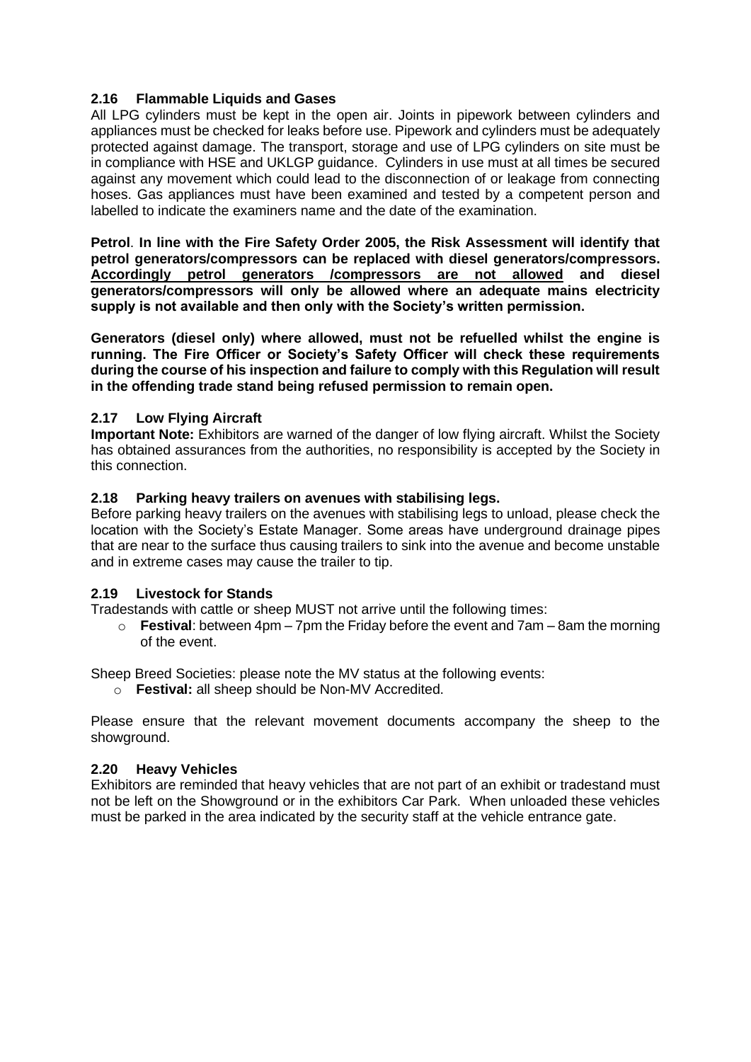#### **2.16 Flammable Liquids and Gases**

All LPG cylinders must be kept in the open air. Joints in pipework between cylinders and appliances must be checked for leaks before use. Pipework and cylinders must be adequately protected against damage. The transport, storage and use of LPG cylinders on site must be in compliance with HSE and UKLGP guidance. Cylinders in use must at all times be secured against any movement which could lead to the disconnection of or leakage from connecting hoses. Gas appliances must have been examined and tested by a competent person and labelled to indicate the examiners name and the date of the examination.

**Petrol**. **In line with the Fire Safety Order 2005, the Risk Assessment will identify that petrol generators/compressors can be replaced with diesel generators/compressors. Accordingly petrol generators /compressors are not allowed and diesel generators/compressors will only be allowed where an adequate mains electricity supply is not available and then only with the Society's written permission.**

**Generators (diesel only) where allowed, must not be refuelled whilst the engine is running. The Fire Officer or Society's Safety Officer will check these requirements during the course of his inspection and failure to comply with this Regulation will result in the offending trade stand being refused permission to remain open.**

#### **2.17 Low Flying Aircraft**

**Important Note:** Exhibitors are warned of the danger of low flying aircraft. Whilst the Society has obtained assurances from the authorities, no responsibility is accepted by the Society in this connection.

#### **2.18 Parking heavy trailers on avenues with stabilising legs.**

Before parking heavy trailers on the avenues with stabilising legs to unload, please check the location with the Society's Estate Manager. Some areas have underground drainage pipes that are near to the surface thus causing trailers to sink into the avenue and become unstable and in extreme cases may cause the trailer to tip.

#### **2.19 Livestock for Stands**

Tradestands with cattle or sheep MUST not arrive until the following times:

o **Festival**: between 4pm – 7pm the Friday before the event and 7am – 8am the morning of the event.

Sheep Breed Societies: please note the MV status at the following events:

o **Festival:** all sheep should be Non-MV Accredited.

Please ensure that the relevant movement documents accompany the sheep to the showground.

#### **2.20 Heavy Vehicles**

Exhibitors are reminded that heavy vehicles that are not part of an exhibit or tradestand must not be left on the Showground or in the exhibitors Car Park. When unloaded these vehicles must be parked in the area indicated by the security staff at the vehicle entrance gate.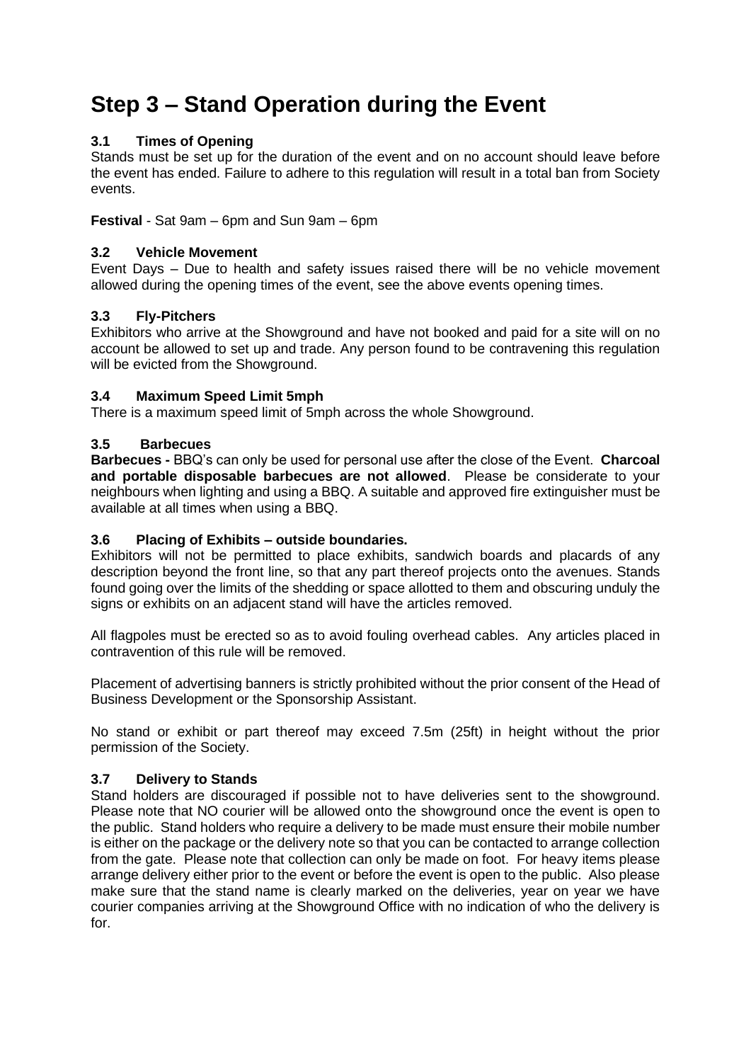# **Step 3 – Stand Operation during the Event**

#### **3.1 Times of Opening**

Stands must be set up for the duration of the event and on no account should leave before the event has ended. Failure to adhere to this regulation will result in a total ban from Society events.

**Festival** - Sat 9am – 6pm and Sun 9am – 6pm

#### **3.2 Vehicle Movement**

Event Days – Due to health and safety issues raised there will be no vehicle movement allowed during the opening times of the event, see the above events opening times.

#### **3.3 Fly-Pitchers**

Exhibitors who arrive at the Showground and have not booked and paid for a site will on no account be allowed to set up and trade. Any person found to be contravening this regulation will be evicted from the Showground.

#### **3.4 Maximum Speed Limit 5mph**

There is a maximum speed limit of 5mph across the whole Showground.

#### **3.5 Barbecues**

**Barbecues -** BBQ's can only be used for personal use after the close of the Event. **Charcoal and portable disposable barbecues are not allowed**. Please be considerate to your neighbours when lighting and using a BBQ. A suitable and approved fire extinguisher must be available at all times when using a BBQ.

#### **3.6 Placing of Exhibits – outside boundaries.**

Exhibitors will not be permitted to place exhibits, sandwich boards and placards of any description beyond the front line, so that any part thereof projects onto the avenues. Stands found going over the limits of the shedding or space allotted to them and obscuring unduly the signs or exhibits on an adjacent stand will have the articles removed.

All flagpoles must be erected so as to avoid fouling overhead cables. Any articles placed in contravention of this rule will be removed.

Placement of advertising banners is strictly prohibited without the prior consent of the Head of Business Development or the Sponsorship Assistant.

No stand or exhibit or part thereof may exceed 7.5m (25ft) in height without the prior permission of the Society.

#### **3.7 Delivery to Stands**

Stand holders are discouraged if possible not to have deliveries sent to the showground. Please note that NO courier will be allowed onto the showground once the event is open to the public. Stand holders who require a delivery to be made must ensure their mobile number is either on the package or the delivery note so that you can be contacted to arrange collection from the gate. Please note that collection can only be made on foot. For heavy items please arrange delivery either prior to the event or before the event is open to the public. Also please make sure that the stand name is clearly marked on the deliveries, year on year we have courier companies arriving at the Showground Office with no indication of who the delivery is for.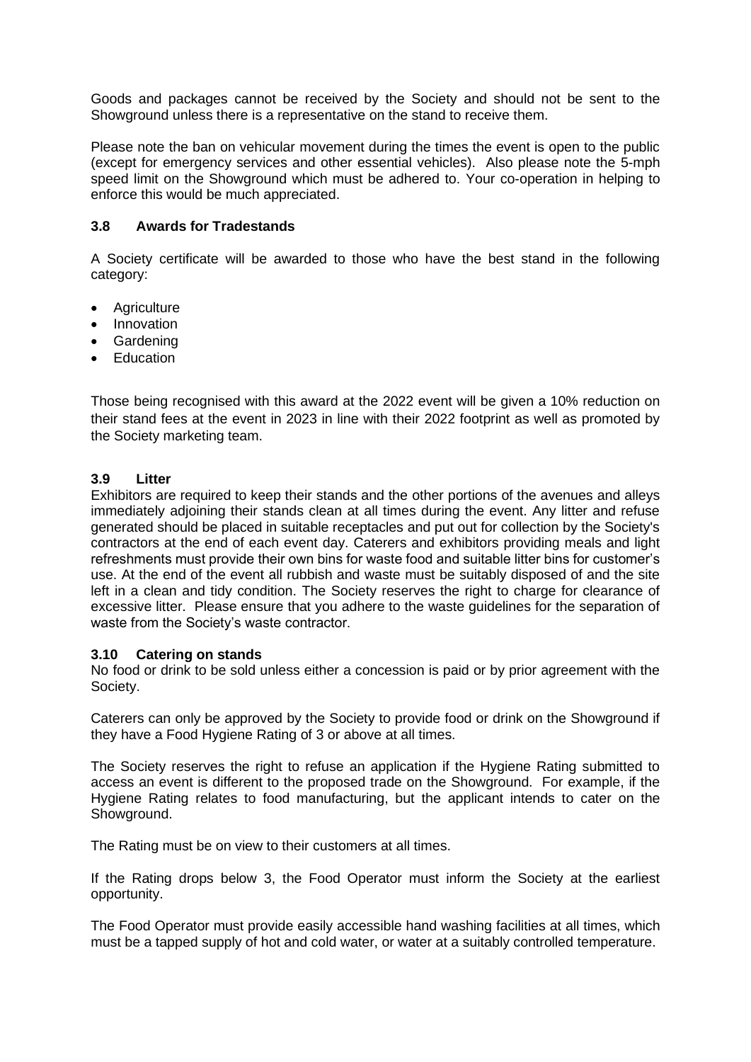Goods and packages cannot be received by the Society and should not be sent to the Showground unless there is a representative on the stand to receive them.

Please note the ban on vehicular movement during the times the event is open to the public (except for emergency services and other essential vehicles). Also please note the 5-mph speed limit on the Showground which must be adhered to. Your co-operation in helping to enforce this would be much appreciated.

#### **3.8 Awards for Tradestands**

A Society certificate will be awarded to those who have the best stand in the following category:

- Agriculture
- Innovation
- Gardening
- Education

Those being recognised with this award at the 2022 event will be given a 10% reduction on their stand fees at the event in 2023 in line with their 2022 footprint as well as promoted by the Society marketing team.

#### **3.9 Litter**

Exhibitors are required to keep their stands and the other portions of the avenues and alleys immediately adjoining their stands clean at all times during the event. Any litter and refuse generated should be placed in suitable receptacles and put out for collection by the Society's contractors at the end of each event day. Caterers and exhibitors providing meals and light refreshments must provide their own bins for waste food and suitable litter bins for customer's use. At the end of the event all rubbish and waste must be suitably disposed of and the site left in a clean and tidy condition. The Society reserves the right to charge for clearance of excessive litter. Please ensure that you adhere to the waste guidelines for the separation of waste from the Society's waste contractor.

#### **3.10 Catering on stands**

No food or drink to be sold unless either a concession is paid or by prior agreement with the Society.

Caterers can only be approved by the Society to provide food or drink on the Showground if they have a Food Hygiene Rating of 3 or above at all times.

The Society reserves the right to refuse an application if the Hygiene Rating submitted to access an event is different to the proposed trade on the Showground. For example, if the Hygiene Rating relates to food manufacturing, but the applicant intends to cater on the Showground.

The Rating must be on view to their customers at all times.

If the Rating drops below 3, the Food Operator must inform the Society at the earliest opportunity.

The Food Operator must provide easily accessible hand washing facilities at all times, which must be a tapped supply of hot and cold water, or water at a suitably controlled temperature.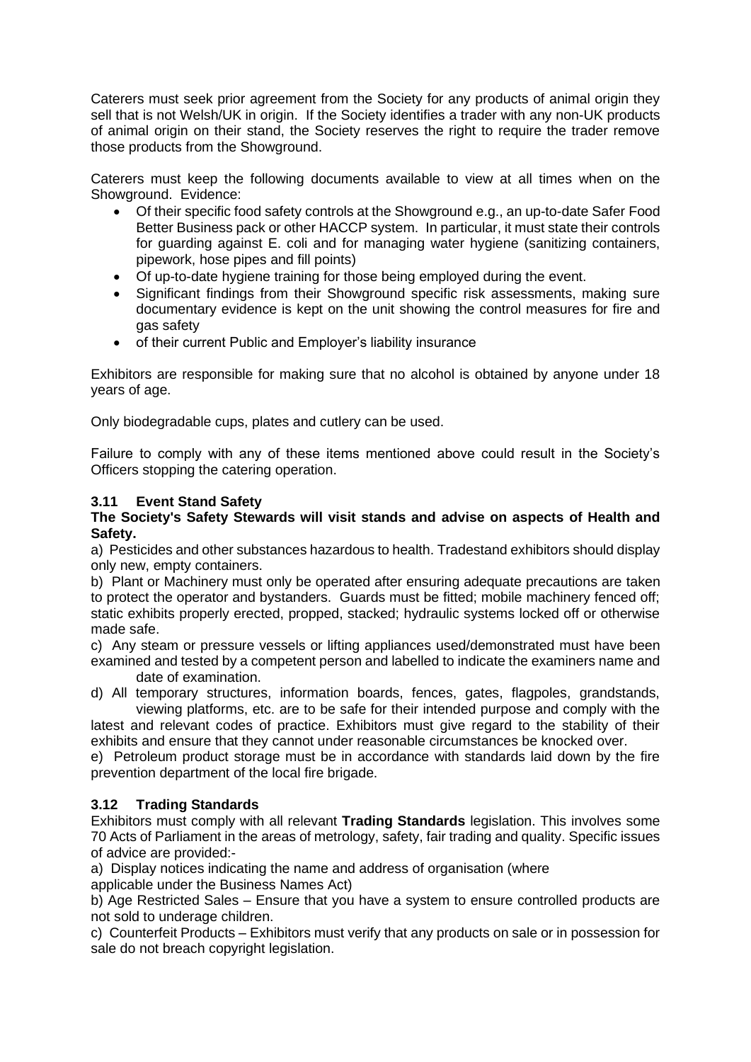Caterers must seek prior agreement from the Society for any products of animal origin they sell that is not Welsh/UK in origin. If the Society identifies a trader with any non-UK products of animal origin on their stand, the Society reserves the right to require the trader remove those products from the Showground.

Caterers must keep the following documents available to view at all times when on the Showground. Evidence:

- Of their specific food safety controls at the Showground e.g., an up-to-date Safer Food Better Business pack or other HACCP system. In particular, it must state their controls for guarding against E. coli and for managing water hygiene (sanitizing containers, pipework, hose pipes and fill points)
- Of up-to-date hygiene training for those being employed during the event.
- Significant findings from their Showground specific risk assessments, making sure documentary evidence is kept on the unit showing the control measures for fire and gas safety
- of their current Public and Employer's liability insurance

Exhibitors are responsible for making sure that no alcohol is obtained by anyone under 18 years of age.

Only biodegradable cups, plates and cutlery can be used.

Failure to comply with any of these items mentioned above could result in the Society's Officers stopping the catering operation.

#### **3.11 Event Stand Safety**

#### **The Society's Safety Stewards will visit stands and advise on aspects of Health and Safety.**

a) Pesticides and other substances hazardous to health. Tradestand exhibitors should display only new, empty containers.

b) Plant or Machinery must only be operated after ensuring adequate precautions are taken to protect the operator and bystanders. Guards must be fitted; mobile machinery fenced off; static exhibits properly erected, propped, stacked; hydraulic systems locked off or otherwise made safe.

c) Any steam or pressure vessels or lifting appliances used/demonstrated must have been examined and tested by a competent person and labelled to indicate the examiners name and date of examination.

d) All temporary structures, information boards, fences, gates, flagpoles, grandstands, viewing platforms, etc. are to be safe for their intended purpose and comply with the

latest and relevant codes of practice. Exhibitors must give regard to the stability of their exhibits and ensure that they cannot under reasonable circumstances be knocked over.

e) Petroleum product storage must be in accordance with standards laid down by the fire prevention department of the local fire brigade.

#### **3.12 Trading Standards**

Exhibitors must comply with all relevant **Trading Standards** legislation. This involves some 70 Acts of Parliament in the areas of metrology, safety, fair trading and quality. Specific issues of advice are provided:-

a) Display notices indicating the name and address of organisation (where

applicable under the Business Names Act)

b) Age Restricted Sales – Ensure that you have a system to ensure controlled products are not sold to underage children.

c) Counterfeit Products – Exhibitors must verify that any products on sale or in possession for sale do not breach copyright legislation.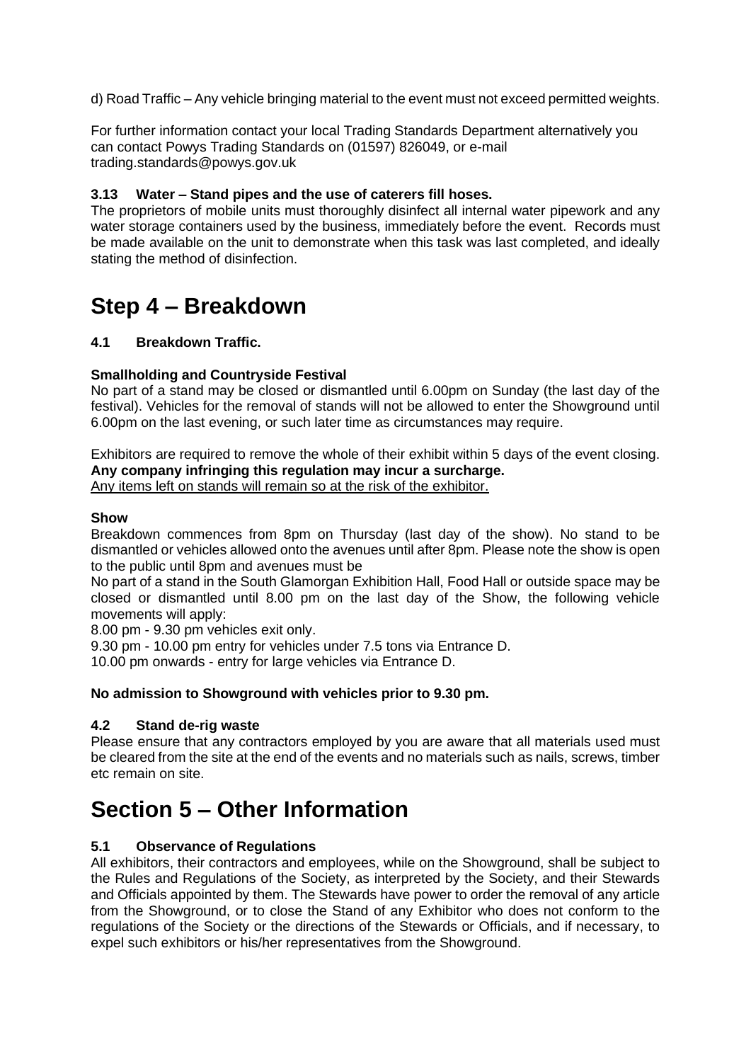d) Road Traffic – Any vehicle bringing material to the event must not exceed permitted weights.

For further information contact your local Trading Standards Department alternatively you can contact Powys Trading Standards on (01597) 826049, or e-mail trading.standards@powys.gov.uk

#### **3.13 Water – Stand pipes and the use of caterers fill hoses.**

The proprietors of mobile units must thoroughly disinfect all internal water pipework and any water storage containers used by the business, immediately before the event. Records must be made available on the unit to demonstrate when this task was last completed, and ideally stating the method of disinfection.

### **Step 4 – Breakdown**

#### **4.1 Breakdown Traffic.**

#### **Smallholding and Countryside Festival**

No part of a stand may be closed or dismantled until 6.00pm on Sunday (the last day of the festival). Vehicles for the removal of stands will not be allowed to enter the Showground until 6.00pm on the last evening, or such later time as circumstances may require.

Exhibitors are required to remove the whole of their exhibit within 5 days of the event closing. **Any company infringing this regulation may incur a surcharge.** Any items left on stands will remain so at the risk of the exhibitor.

#### **Show**

Breakdown commences from 8pm on Thursday (last day of the show). No stand to be dismantled or vehicles allowed onto the avenues until after 8pm. Please note the show is open to the public until 8pm and avenues must be

No part of a stand in the South Glamorgan Exhibition Hall, Food Hall or outside space may be closed or dismantled until 8.00 pm on the last day of the Show, the following vehicle movements will apply:

8.00 pm - 9.30 pm vehicles exit only.

9.30 pm - 10.00 pm entry for vehicles under 7.5 tons via Entrance D.

10.00 pm onwards - entry for large vehicles via Entrance D.

#### **No admission to Showground with vehicles prior to 9.30 pm.**

#### **4.2 Stand de-rig waste**

Please ensure that any contractors employed by you are aware that all materials used must be cleared from the site at the end of the events and no materials such as nails, screws, timber etc remain on site.

### **Section 5 – Other Information**

#### **5.1 Observance of Regulations**

All exhibitors, their contractors and employees, while on the Showground, shall be subject to the Rules and Regulations of the Society, as interpreted by the Society, and their Stewards and Officials appointed by them. The Stewards have power to order the removal of any article from the Showground, or to close the Stand of any Exhibitor who does not conform to the regulations of the Society or the directions of the Stewards or Officials, and if necessary, to expel such exhibitors or his/her representatives from the Showground.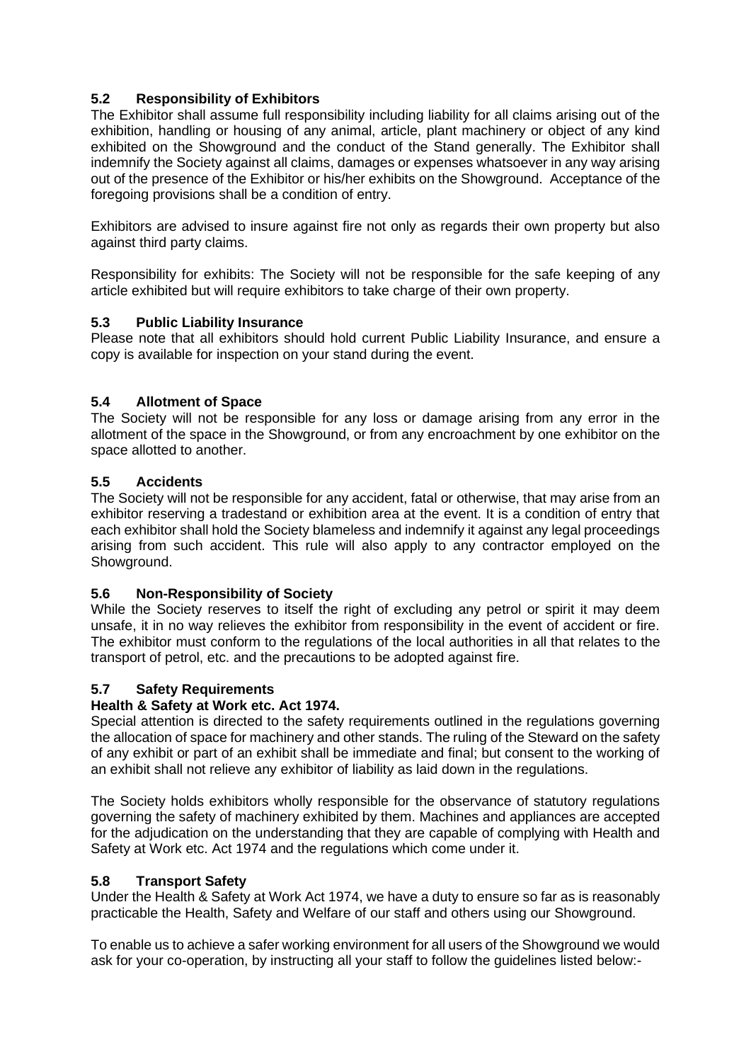#### **5.2 Responsibility of Exhibitors**

The Exhibitor shall assume full responsibility including liability for all claims arising out of the exhibition, handling or housing of any animal, article, plant machinery or object of any kind exhibited on the Showground and the conduct of the Stand generally. The Exhibitor shall indemnify the Society against all claims, damages or expenses whatsoever in any way arising out of the presence of the Exhibitor or his/her exhibits on the Showground. Acceptance of the foregoing provisions shall be a condition of entry.

Exhibitors are advised to insure against fire not only as regards their own property but also against third party claims.

Responsibility for exhibits: The Society will not be responsible for the safe keeping of any article exhibited but will require exhibitors to take charge of their own property.

#### **5.3 Public Liability Insurance**

Please note that all exhibitors should hold current Public Liability Insurance, and ensure a copy is available for inspection on your stand during the event.

#### **5.4 Allotment of Space**

The Society will not be responsible for any loss or damage arising from any error in the allotment of the space in the Showground, or from any encroachment by one exhibitor on the space allotted to another.

#### **5.5 Accidents**

The Society will not be responsible for any accident, fatal or otherwise, that may arise from an exhibitor reserving a tradestand or exhibition area at the event. It is a condition of entry that each exhibitor shall hold the Society blameless and indemnify it against any legal proceedings arising from such accident. This rule will also apply to any contractor employed on the Showground.

#### **5.6 Non-Responsibility of Society**

While the Society reserves to itself the right of excluding any petrol or spirit it may deem unsafe, it in no way relieves the exhibitor from responsibility in the event of accident or fire. The exhibitor must conform to the regulations of the local authorities in all that relates to the transport of petrol, etc. and the precautions to be adopted against fire.

#### **5.7 Safety Requirements**

#### **Health & Safety at Work etc. Act 1974.**

Special attention is directed to the safety requirements outlined in the regulations governing the allocation of space for machinery and other stands. The ruling of the Steward on the safety of any exhibit or part of an exhibit shall be immediate and final; but consent to the working of an exhibit shall not relieve any exhibitor of liability as laid down in the regulations.

The Society holds exhibitors wholly responsible for the observance of statutory regulations governing the safety of machinery exhibited by them. Machines and appliances are accepted for the adjudication on the understanding that they are capable of complying with Health and Safety at Work etc. Act 1974 and the regulations which come under it.

#### **5.8 Transport Safety**

Under the Health & Safety at Work Act 1974, we have a duty to ensure so far as is reasonably practicable the Health, Safety and Welfare of our staff and others using our Showground.

To enable us to achieve a safer working environment for all users of the Showground we would ask for your co-operation, by instructing all your staff to follow the guidelines listed below:-